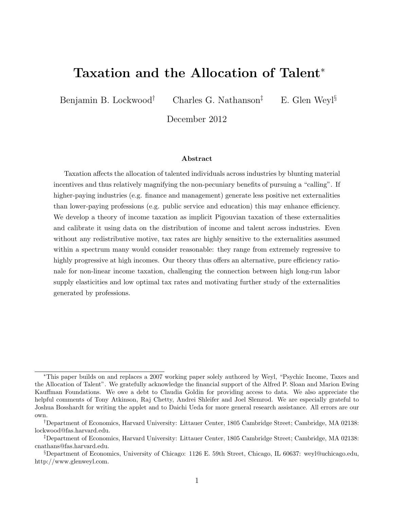# Taxation and the Allocation of Talent<sup>∗</sup>

Benjamin B. Lockwood<sup>†</sup> Charles G. Nathanson<sup>‡</sup> E. Glen Weyl<sup>§</sup>

December 2012

#### Abstract

Taxation affects the allocation of talented individuals across industries by blunting material incentives and thus relatively magnifying the non-pecuniary benefits of pursuing a "calling". If higher-paying industries (e.g. finance and management) generate less positive net externalities than lower-paying professions (e.g. public service and education) this may enhance efficiency. We develop a theory of income taxation as implicit Pigouvian taxation of these externalities and calibrate it using data on the distribution of income and talent across industries. Even without any redistributive motive, tax rates are highly sensitive to the externalities assumed within a spectrum many would consider reasonable: they range from extremely regressive to highly progressive at high incomes. Our theory thus offers an alternative, pure efficiency rationale for non-linear income taxation, challenging the connection between high long-run labor supply elasticities and low optimal tax rates and motivating further study of the externalities generated by professions.

<sup>∗</sup>This paper builds on and replaces a 2007 working paper solely authored by Weyl, "Psychic Income, Taxes and the Allocation of Talent". We gratefully acknowledge the financial support of the Alfred P. Sloan and Marion Ewing Kauffman Foundations. We owe a debt to Claudia Goldin for providing access to data. We also appreciate the helpful comments of Tony Atkinson, Raj Chetty, Andrei Shleifer and Joel Slemrod. We are especially grateful to Joshua Bosshardt for writing the applet and to Daichi Ueda for more general research assistance. All errors are our own.

<sup>†</sup>Department of Economics, Harvard University: Littauer Center, 1805 Cambridge Street; Cambridge, MA 02138: lockwood@fas.harvard.edu.

<sup>‡</sup>Department of Economics, Harvard University: Littauer Center, 1805 Cambridge Street; Cambridge, MA 02138: cnathans@fas.harvard.edu.

<sup>§</sup>Department of Economics, University of Chicago: 1126 E. 59th Street, Chicago, IL 60637: weyl@uchicago.edu, http://www.glenweyl.com.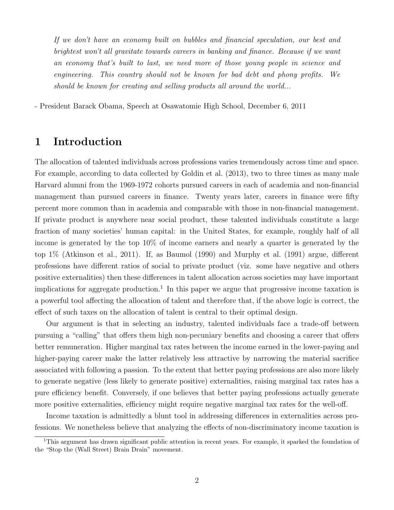If we don't have an economy built on bubbles and financial speculation, our best and brightest won't all gravitate towards careers in banking and finance. Because if we want an economy that's built to last, we need more of those young people in science and engineering. This country should not be known for bad debt and phony profits. We should be known for creating and selling products all around the world...

- President Barack Obama, Speech at Osawatomie High School, December 6, 2011

## 1 Introduction

The allocation of talented individuals across professions varies tremendously across time and space. For example, according to data collected by Goldin et al. (2013), two to three times as many male Harvard alumni from the 1969-1972 cohorts pursued careers in each of academia and non-financial management than pursued careers in finance. Twenty years later, careers in finance were fifty percent more common than in academia and comparable with those in non-financial management. If private product is anywhere near social product, these talented individuals constitute a large fraction of many societies' human capital: in the United States, for example, roughly half of all income is generated by the top 10% of income earners and nearly a quarter is generated by the top 1% (Atkinson et al., 2011). If, as Baumol (1990) and Murphy et al. (1991) argue, different professions have different ratios of social to private product (viz. some have negative and others positive externalities) then these differences in talent allocation across societies may have important implications for aggregate production.<sup>1</sup> In this paper we argue that progressive income taxation is a powerful tool affecting the allocation of talent and therefore that, if the above logic is correct, the effect of such taxes on the allocation of talent is central to their optimal design.

Our argument is that in selecting an industry, talented individuals face a trade-off between pursuing a "calling" that offers them high non-pecuniary benefits and choosing a career that offers better remuneration. Higher marginal tax rates between the income earned in the lower-paying and higher-paying career make the latter relatively less attractive by narrowing the material sacrifice associated with following a passion. To the extent that better paying professions are also more likely to generate negative (less likely to generate positive) externalities, raising marginal tax rates has a pure efficiency benefit. Conversely, if one believes that better paying professions actually generate more positive externalities, efficiency might require negative marginal tax rates for the well-off.

Income taxation is admittedly a blunt tool in addressing differences in externalities across professions. We nonetheless believe that analyzing the effects of non-discriminatory income taxation is

<sup>&</sup>lt;sup>1</sup>This argument has drawn significant public attention in recent years. For example, it sparked the foundation of the "Stop the (Wall Street) Brain Drain" movement.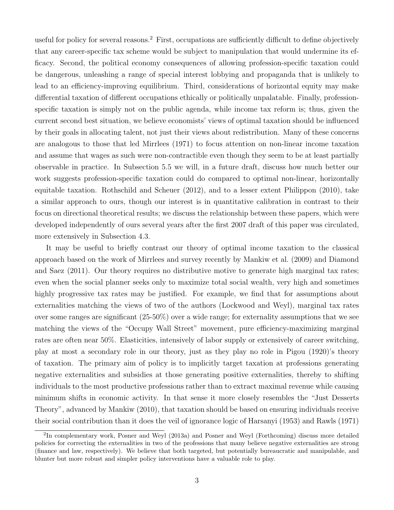useful for policy for several reasons.<sup>2</sup> First, occupations are sufficiently difficult to define objectively that any career-specific tax scheme would be subject to manipulation that would undermine its efficacy. Second, the political economy consequences of allowing profession-specific taxation could be dangerous, unleashing a range of special interest lobbying and propaganda that is unlikely to lead to an efficiency-improving equilibrium. Third, considerations of horizontal equity may make differential taxation of different occupations ethically or politically unpalatable. Finally, professionspecific taxation is simply not on the public agenda, while income tax reform is; thus, given the current second best situation, we believe economists' views of optimal taxation should be influenced by their goals in allocating talent, not just their views about redistribution. Many of these concerns are analogous to those that led Mirrlees (1971) to focus attention on non-linear income taxation and assume that wages as such were non-contractible even though they seem to be at least partially observable in practice. In Subsection 5.5 we will, in a future draft, discuss how much better our work suggests profession-specific taxation could do compared to optimal non-linear, horizontally equitable taxation. Rothschild and Scheuer (2012), and to a lesser extent Philippon (2010), take a similar approach to ours, though our interest is in quantitative calibration in contrast to their focus on directional theoretical results; we discuss the relationship between these papers, which were developed independently of ours several years after the first 2007 draft of this paper was circulated, more extensively in Subsection 4.3.

It may be useful to briefly contrast our theory of optimal income taxation to the classical approach based on the work of Mirrlees and survey recently by Mankiw et al. (2009) and Diamond and Saez (2011). Our theory requires no distributive motive to generate high marginal tax rates; even when the social planner seeks only to maximize total social wealth, very high and sometimes highly progressive tax rates may be justified. For example, we find that for assumptions about externalities matching the views of two of the authors (Lockwood and Weyl), marginal tax rates over some ranges are significant  $(25-50\%)$  over a wide range; for externality assumptions that we see matching the views of the "Occupy Wall Street" movement, pure efficiency-maximizing marginal rates are often near 50%. Elasticities, intensively of labor supply or extensively of career switching, play at most a secondary role in our theory, just as they play no role in Pigou (1920)'s theory of taxation. The primary aim of policy is to implicitly target taxation at professions generating negative externalities and subsidies at those generating positive externalities, thereby to shifting individuals to the most productive professions rather than to extract maximal revenue while causing minimum shifts in economic activity. In that sense it more closely resembles the "Just Desserts Theory", advanced by Mankiw (2010), that taxation should be based on ensuring individuals receive their social contribution than it does the veil of ignorance logic of Harsanyi (1953) and Rawls (1971)

<sup>&</sup>lt;sup>2</sup>In complementary work, Posner and Weyl (2013a) and Posner and Weyl (Forthcoming) discuss more detailed policies for correcting the externalities in two of the professions that many believe negative externalities are strong (finance and law, respectively). We believe that both targeted, but potentially bureaucratic and manipulable, and blunter but more robust and simpler policy interventions have a valuable role to play.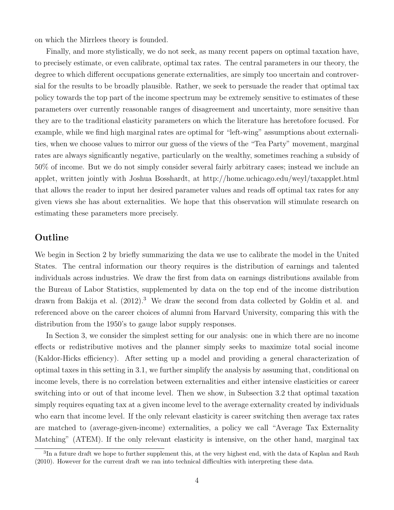on which the Mirrlees theory is founded.

Finally, and more stylistically, we do not seek, as many recent papers on optimal taxation have, to precisely estimate, or even calibrate, optimal tax rates. The central parameters in our theory, the degree to which different occupations generate externalities, are simply too uncertain and controversial for the results to be broadly plausible. Rather, we seek to persuade the reader that optimal tax policy towards the top part of the income spectrum may be extremely sensitive to estimates of these parameters over currently reasonable ranges of disagreement and uncertainty, more sensitive than they are to the traditional elasticity parameters on which the literature has heretofore focused. For example, while we find high marginal rates are optimal for "left-wing" assumptions about externalities, when we choose values to mirror our guess of the views of the "Tea Party" movement, marginal rates are always significantly negative, particularly on the wealthy, sometimes reaching a subsidy of 50% of income. But we do not simply consider several fairly arbitrary cases; instead we include an applet, written jointly with Joshua Bosshardt, at http://home.uchicago.edu/weyl/taxapplet.html that allows the reader to input her desired parameter values and reads off optimal tax rates for any given views she has about externalities. We hope that this observation will stimulate research on estimating these parameters more precisely.

### Outline

We begin in Section 2 by briefly summarizing the data we use to calibrate the model in the United States. The central information our theory requires is the distribution of earnings and talented individuals across industries. We draw the first from data on earnings distributions available from the Bureau of Labor Statistics, supplemented by data on the top end of the income distribution drawn from Bakija et al. (2012).<sup>3</sup> We draw the second from data collected by Goldin et al. and referenced above on the career choices of alumni from Harvard University, comparing this with the distribution from the 1950's to gauge labor supply responses.

In Section 3, we consider the simplest setting for our analysis: one in which there are no income effects or redistributive motives and the planner simply seeks to maximize total social income (Kaldor-Hicks efficiency). After setting up a model and providing a general characterization of optimal taxes in this setting in 3.1, we further simplify the analysis by assuming that, conditional on income levels, there is no correlation between externalities and either intensive elasticities or career switching into or out of that income level. Then we show, in Subsection 3.2 that optimal taxation simply requires equating tax at a given income level to the average externality created by individuals who earn that income level. If the only relevant elasticity is career switching then average tax rates are matched to (average-given-income) externalities, a policy we call "Average Tax Externality Matching" (ATEM). If the only relevant elasticity is intensive, on the other hand, marginal tax

<sup>&</sup>lt;sup>3</sup>In a future draft we hope to further supplement this, at the very highest end, with the data of Kaplan and Rauh (2010). However for the current draft we ran into technical difficulties with interpreting these data.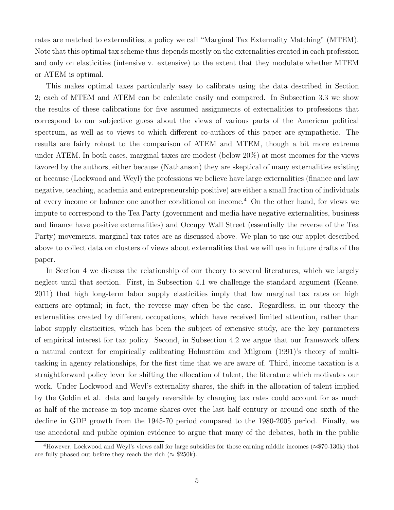rates are matched to externalities, a policy we call "Marginal Tax Externality Matching" (MTEM). Note that this optimal tax scheme thus depends mostly on the externalities created in each profession and only on elasticities (intensive v. extensive) to the extent that they modulate whether MTEM or ATEM is optimal.

This makes optimal taxes particularly easy to calibrate using the data described in Section 2; each of MTEM and ATEM can be calculate easily and compared. In Subsection 3.3 we show the results of these calibrations for five assumed assignments of externalities to professions that correspond to our subjective guess about the views of various parts of the American political spectrum, as well as to views to which different co-authors of this paper are sympathetic. The results are fairly robust to the comparison of ATEM and MTEM, though a bit more extreme under ATEM. In both cases, marginal taxes are modest (below 20%) at most incomes for the views favored by the authors, either because (Nathanson) they are skeptical of many externalities existing or because (Lockwood and Weyl) the professions we believe have large externalities (finance and law negative, teaching, academia and entrepreneurship positive) are either a small fraction of individuals at every income or balance one another conditional on income.<sup>4</sup> On the other hand, for views we impute to correspond to the Tea Party (government and media have negative externalities, business and finance have positive externalities) and Occupy Wall Street (essentially the reverse of the Tea Party) movements, marginal tax rates are as discussed above. We plan to use our applet described above to collect data on clusters of views about externalities that we will use in future drafts of the paper.

In Section 4 we discuss the relationship of our theory to several literatures, which we largely neglect until that section. First, in Subsection 4.1 we challenge the standard argument (Keane, 2011) that high long-term labor supply elasticities imply that low marginal tax rates on high earners are optimal; in fact, the reverse may often be the case. Regardless, in our theory the externalities created by different occupations, which have received limited attention, rather than labor supply elasticities, which has been the subject of extensive study, are the key parameters of empirical interest for tax policy. Second, in Subsection 4.2 we argue that our framework offers a natural context for empirically calibrating Holmström and Milgrom (1991)'s theory of multitasking in agency relationships, for the first time that we are aware of. Third, income taxation is a straightforward policy lever for shifting the allocation of talent, the literature which motivates our work. Under Lockwood and Weyl's externality shares, the shift in the allocation of talent implied by the Goldin et al. data and largely reversible by changing tax rates could account for as much as half of the increase in top income shares over the last half century or around one sixth of the decline in GDP growth from the 1945-70 period compared to the 1980-2005 period. Finally, we use anecdotal and public opinion evidence to argue that many of the debates, both in the public

<sup>&</sup>lt;sup>4</sup>However, Lockwood and Weyl's views call for large subsidies for those earning middle incomes ( $\approx$ \$70-130k) that are fully phased out before they reach the rich ( $\approx$  \$250k).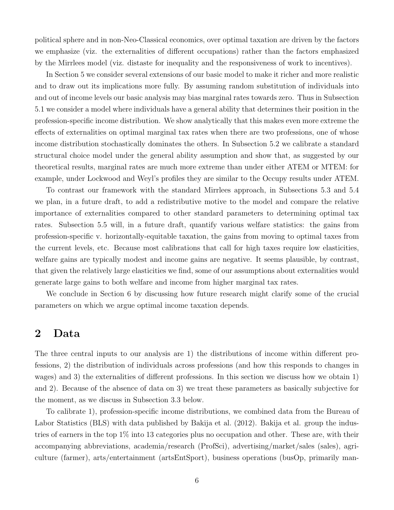political sphere and in non-Neo-Classical economics, over optimal taxation are driven by the factors we emphasize (viz. the externalities of different occupations) rather than the factors emphasized by the Mirrlees model (viz. distaste for inequality and the responsiveness of work to incentives).

In Section 5 we consider several extensions of our basic model to make it richer and more realistic and to draw out its implications more fully. By assuming random substitution of individuals into and out of income levels our basic analysis may bias marginal rates towards zero. Thus in Subsection 5.1 we consider a model where individuals have a general ability that determines their position in the profession-specific income distribution. We show analytically that this makes even more extreme the effects of externalities on optimal marginal tax rates when there are two professions, one of whose income distribution stochastically dominates the others. In Subsection 5.2 we calibrate a standard structural choice model under the general ability assumption and show that, as suggested by our theoretical results, marginal rates are much more extreme than under either ATEM or MTEM: for example, under Lockwood and Weyl's profiles they are similar to the Occupy results under ATEM.

To contrast our framework with the standard Mirrlees approach, in Subsections 5.3 and 5.4 we plan, in a future draft, to add a redistributive motive to the model and compare the relative importance of externalities compared to other standard parameters to determining optimal tax rates. Subsection 5.5 will, in a future draft, quantify various welfare statistics: the gains from profession-specific v. horizontally-equitable taxation, the gains from moving to optimal taxes from the current levels, etc. Because most calibrations that call for high taxes require low elasticities, welfare gains are typically modest and income gains are negative. It seems plausible, by contrast, that given the relatively large elasticities we find, some of our assumptions about externalities would generate large gains to both welfare and income from higher marginal tax rates.

We conclude in Section 6 by discussing how future research might clarify some of the crucial parameters on which we argue optimal income taxation depends.

### 2 Data

The three central inputs to our analysis are 1) the distributions of income within different professions, 2) the distribution of individuals across professions (and how this responds to changes in wages) and 3) the externalities of different professions. In this section we discuss how we obtain 1) and 2). Because of the absence of data on 3) we treat these parameters as basically subjective for the moment, as we discuss in Subsection 3.3 below.

To calibrate 1), profession-specific income distributions, we combined data from the Bureau of Labor Statistics (BLS) with data published by Bakija et al. (2012). Bakija et al. group the industries of earners in the top 1% into 13 categories plus no occupation and other. These are, with their accompanying abbreviations, academia/research (ProfSci), advertising/market/sales (sales), agriculture (farmer), arts/entertainment (artsEntSport), business operations (busOp, primarily man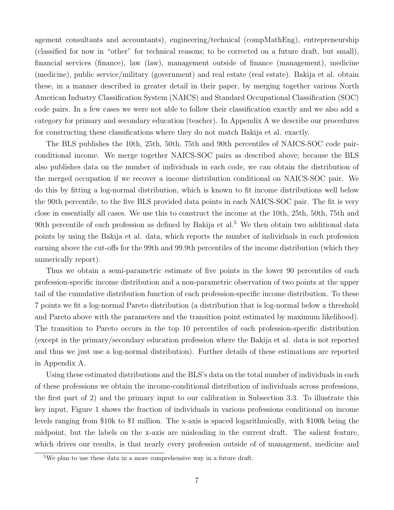agement consultants and accountants), engineering/technical (compMathEng), entrepreneurship (classified for now in "other" for technical reasons; to be corrected on a future draft, but small), financial services (finance), law (law), management outside of finance (management), medicine (medicine), public service/military (government) and real estate (real estate). Bakija et al. obtain these, in a manner described in greater detail in their paper, by merging together various North American Industry Classification System (NAICS) and Standard Occupational Classification (SOC) code pairs. In a few cases we were not able to follow their classification exactly and we also add a category for primary and secondary education (teacher). In Appendix A we describe our procedures for constructing these classifications where they do not match Bakija et al. exactly.

The BLS publishes the 10th, 25th, 50th, 75th and 90th percentiles of NAICS-SOC code pairconditional income. We merge together NAICS-SOC pairs as described above; because the BLS also publishes data on the number of individuals in each code, we can obtain the distribution of the merged occupation if we recover a income distribution conditional on NAICS-SOC pair. We do this by fitting a log-normal distribution, which is known to fit income distributions well below the 90th percentile, to the five BLS provided data points in each NAICS-SOC pair. The fit is very close in essentially all cases. We use this to construct the income at the 10th, 25th, 50th, 75th and 90th percentile of each profession as defined by Bakija et al.<sup>5</sup> We then obtain two additional data points by using the Bakija et al. data, which reports the number of individuals in each profession earning above the cut-offs for the 99th and 99.9th percentiles of the income distribution (which they numerically report).

Thus we obtain a semi-parametric estimate of five points in the lower 90 percentiles of each profession-specific income distribution and a non-parametric observation of two points at the upper tail of the cumulative distribution function of each profession-specific income distribution. To these 7 points we fit a log-normal Pareto distribution (a distribution that is log-normal below a threshold and Pareto above with the parameters and the transition point estimated by maximum likelihood). The transition to Pareto occurs in the top 10 percentiles of each profession-specific distribution (except in the primary/secondary education profession where the Bakija et al. data is not reported and thus we just use a log-normal distribution). Further details of these estimations are reported in Appendix A.

Using these estimated distributions and the BLS's data on the total number of individuals in each of these professions we obtain the income-conditional distribution of individuals across professions, the first part of 2) and the primary input to our calibration in Subsection 3.3. To illustrate this key input, Figure 1 shows the fraction of individuals in various professions conditional on income levels ranging from \$10k to \$1 million. The x-axis is spaced logarithmically, with \$100k being the midpoint, but the labels on the x-axis are misleading in the current draft. The salient feature, which drives our results, is that nearly every profession outside of of management, medicine and

<sup>5</sup>We plan to use these data in a more comprehensive way in a future draft.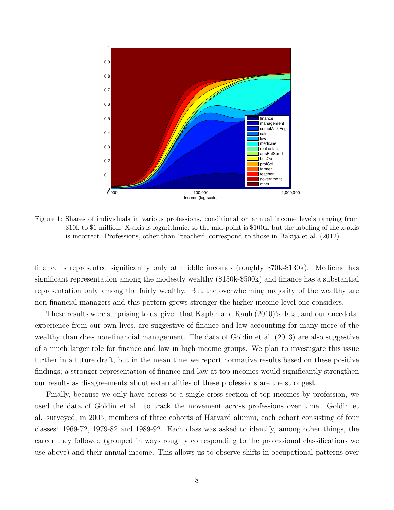

Figure 1: Shares of individuals in various professions, conditional on annual income levels ranging from \$10k to \$1 million. X-axis is logarithmic, so the mid-point is \$100k, but the labeling of the x-axis is incorrect. Professions, other than "teacher" correspond to those in Bakija et al. (2012).

finance is represented significantly only at middle incomes (roughly \$70k-\$130k). Medicine has significant representation among the modestly wealthy (\$150k-\$500k) and finance has a substantial representation only among the fairly wealthy. But the overwhelming majority of the wealthy are non-financial managers and this pattern grows stronger the higher income level one considers.

These results were surprising to us, given that Kaplan and Rauh (2010)'s data, and our anecdotal experience from our own lives, are suggestive of finance and law accounting for many more of the wealthy than does non-financial management. The data of Goldin et al. (2013) are also suggestive of a much larger role for finance and law in high income groups. We plan to investigate this issue further in a future draft, but in the mean time we report normative results based on these positive findings; a stronger representation of finance and law at top incomes would significantly strengthen our results as disagreements about externalities of these professions are the strongest.

Finally, because we only have access to a single cross-section of top incomes by profession, we used the data of Goldin et al. to track the movement across professions over time. Goldin et al. surveyed, in 2005, members of three cohorts of Harvard alumni, each cohort consisting of four classes: 1969-72, 1979-82 and 1989-92. Each class was asked to identify, among other things, the career they followed (grouped in ways roughly corresponding to the professional classifications we use above) and their annual income. This allows us to observe shifts in occupational patterns over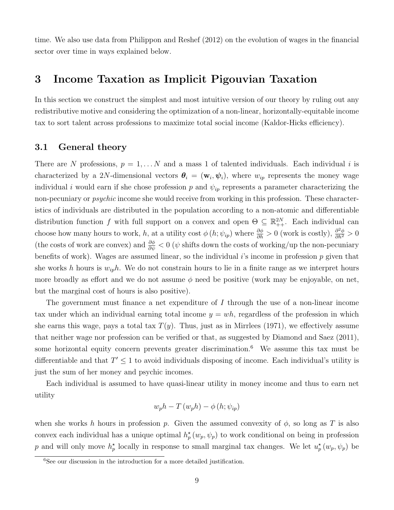time. We also use data from Philippon and Reshef (2012) on the evolution of wages in the financial sector over time in ways explained below.

## 3 Income Taxation as Implicit Pigouvian Taxation

In this section we construct the simplest and most intuitive version of our theory by ruling out any redistributive motive and considering the optimization of a non-linear, horizontally-equitable income tax to sort talent across professions to maximize total social income (Kaldor-Hicks efficiency).

### 3.1 General theory

There are N professions,  $p = 1, \ldots N$  and a mass 1 of talented individuals. Each individual i is characterized by a 2N-dimensional vectors  $\theta_i = (\mathbf{w}_i, \psi_i)$ , where  $w_{ip}$  represents the money wage individual i would earn if she chose profession p and  $\psi_{ip}$  represents a parameter characterizing the non-pecuniary or *psychic* income she would receive from working in this profession. These characteristics of individuals are distributed in the population according to a non-atomic and differentiable distribution function f with full support on a convex and open  $\Theta \subseteq \mathbb{R}^{2N}_{++}$ . Each individual can choose how many hours to work, h, at a utility cost  $\phi(h; \psi_{ip})$  where  $\frac{\partial \phi}{\partial h} > 0$  (work is costly),  $\frac{\partial^2 \phi}{\partial h^2} > 0$ (the costs of work are convex) and  $\frac{\partial \phi}{\partial \psi} < 0$  ( $\psi$  shifts down the costs of working/up the non-pecuniary benefits of work). Wages are assumed linear, so the individual i's income in profession  $p$  given that she works h hours is  $w_{ip}h$ . We do not constrain hours to lie in a finite range as we interpret hours more broadly as effort and we do not assume  $\phi$  need be positive (work may be enjoyable, on net, but the marginal cost of hours is also positive).

The government must finance a net expenditure of  $I$  through the use of a non-linear income tax under which an individual earning total income  $y = wh$ , regardless of the profession in which she earns this wage, pays a total tax  $T(y)$ . Thus, just as in Mirrlees (1971), we effectively assume that neither wage nor profession can be verified or that, as suggested by Diamond and Saez (2011), some horizontal equity concern prevents greater discrimination.<sup>6</sup> We assume this tax must be differentiable and that  $T' \leq 1$  to avoid individuals disposing of income. Each individual's utility is just the sum of her money and psychic incomes.

Each individual is assumed to have quasi-linear utility in money income and thus to earn net utility

$$
w_p h - T(w_p h) - \phi(h; \psi_{ip})
$$

when she works h hours in profession p. Given the assumed convexity of  $\phi$ , so long as T is also convex each individual has a unique optimal  $h_p^{\star}(w_p, \psi_p)$  to work conditional on being in profession p and will only move  $h_p^*$  locally in response to small marginal tax changes. We let  $u_p^*(w_p, \psi_p)$  be

 ${}^{6}$ See our discussion in the introduction for a more detailed justification.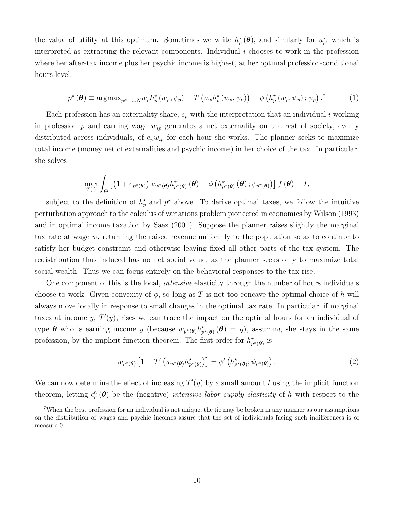the value of utility at this optimum. Sometimes we write  $h_p^{\star}(\theta)$ , and similarly for  $u_p^{\star}$ , which is interpreted as extracting the relevant components. Individual  $i$  chooses to work in the profession where her after-tax income plus her psychic income is highest, at her optimal profession-conditional hours level:

$$
p^{\star}(\boldsymbol{\theta}) \equiv \operatorname{argmax}_{p \in 1, \dots N} w_p h_p^{\star}(w_p, \psi_p) - T\left(w_p h_p^{\star}(w_p, \psi_p)\right) - \phi\left(h_p^{\star}(w_p, \psi_p); \psi_p\right). \tag{1}
$$

Each profession has an externality share,  $e_p$  with the interpretation that an individual i working in profession p and earning wage  $w_{ip}$  generates a net externality on the rest of society, evenly distributed across individuals, of  $e_p w_{ip}$  for each hour she works. The planner seeks to maximize total income (money net of externalities and psychic income) in her choice of the tax. In particular, she solves

$$
\max_{T(\cdot)} \int_{\Theta} \left[ \left( 1 + e_{p^{\star}(\boldsymbol{\theta})} \right) w_{p^{\star}(\boldsymbol{\theta})} h_{p^{\star}(\boldsymbol{\theta})}^{\star}(\boldsymbol{\theta}) - \phi \left( h_{p^{\star}(\boldsymbol{\theta})}^{\star}(\boldsymbol{\theta}) ; \psi_{p^{\star}(\boldsymbol{\theta})} \right) \right] f(\boldsymbol{\theta}) - I,
$$

subject to the definition of  $h_p^*$  and  $p^*$  above. To derive optimal taxes, we follow the intuitive perturbation approach to the calculus of variations problem pioneered in economics by Wilson (1993) and in optimal income taxation by Saez (2001). Suppose the planner raises slightly the marginal tax rate at wage w, returning the raised revenue uniformly to the population so as to continue to satisfy her budget constraint and otherwise leaving fixed all other parts of the tax system. The redistribution thus induced has no net social value, as the planner seeks only to maximize total social wealth. Thus we can focus entirely on the behavioral responses to the tax rise.

One component of this is the local, intensive elasticity through the number of hours individuals choose to work. Given convexity of  $\phi$ , so long as T is not too concave the optimal choice of h will always move locally in response to small changes in the optimal tax rate. In particular, if marginal taxes at income y,  $T'(y)$ , rises we can trace the impact on the optimal hours for an individual of type  $\theta$  who is earning income y (because  $w_{p^*(\theta)}h^*_{p^*(\theta)}(\theta) = y$ ), assuming she stays in the same profession, by the implicit function theorem. The first-order for  $h^{\star}_{p^{\star}(\theta)}$  is

$$
w_{p^{\star}(\boldsymbol{\theta})} \left[ 1 - T' \left( w_{p^{\star}(\boldsymbol{\theta})} h_{p^{\star}(\boldsymbol{\theta})}^{\star} \right) \right] = \phi' \left( h_{p^{\star}(\boldsymbol{\theta})}^{\star}; \psi_{p^{\star}(\boldsymbol{\theta})} \right). \tag{2}
$$

We can now determine the effect of increasing  $T'(y)$  by a small amount t using the implicit function theorem, letting  $\epsilon_p^h(\theta)$  be the (negative) intensive labor supply elasticity of h with respect to the

<sup>7</sup>When the best profession for an individual is not unique, the tie may be broken in any manner as our assumptions on the distribution of wages and psychic incomes assure that the set of individuals facing such indifferences is of measure 0.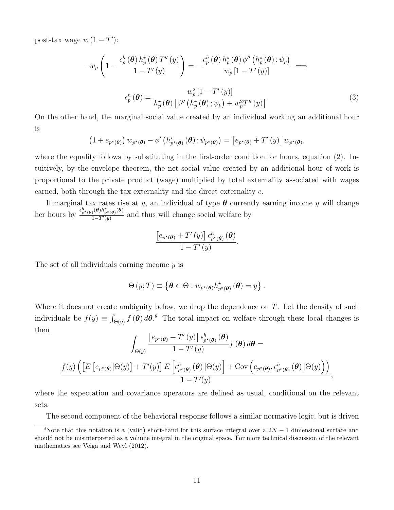post-tax wage  $w(1-T')$ :

$$
-w_p \left( 1 - \frac{\epsilon_p^h(\boldsymbol{\theta}) h_p^{\star}(\boldsymbol{\theta}) T''(y)}{1 - T'(y)} \right) = -\frac{\epsilon_p^h(\boldsymbol{\theta}) h_p^{\star}(\boldsymbol{\theta}) \phi''\left(h_p^{\star}(\boldsymbol{\theta}); \psi_p\right)}{w_p \left[ 1 - T'(y) \right]} \implies
$$
  

$$
\epsilon_p^h(\boldsymbol{\theta}) = \frac{w_p^2 \left[ 1 - T'(y) \right]}{h_p^{\star}(\boldsymbol{\theta}) \left[ \phi''\left(h_p^{\star}(\boldsymbol{\theta}); \psi_p\right) + w_p^2 T''(y) \right]}.
$$
 (3)

On the other hand, the marginal social value created by an individual working an additional hour is

$$
\left(1+e_{p^{\star}(\boldsymbol{\theta})}\right)w_{p^{\star}(\boldsymbol{\theta})}-\phi'\left(h^{\star}_{p^{\star}(\boldsymbol{\theta})}\left(\boldsymbol{\theta}\right);\psi_{p^{\star}(\boldsymbol{\theta})}\right)=\left[e_{p^{\star}(\boldsymbol{\theta})}+T'\left(y\right)\right]w_{p^{\star}(\boldsymbol{\theta})},
$$

where the equality follows by substituting in the first-order condition for hours, equation (2). Intuitively, by the envelope theorem, the net social value created by an additional hour of work is proportional to the private product (wage) multiplied by total externality associated with wages earned, both through the tax externality and the direct externality e.

If marginal tax rates rise at y, an individual of type  $\theta$  currently earning income y will change her hours by  $\frac{\epsilon_{p^{\star}(\theta)}^{h}(\theta)h_{p^{\star}(\theta)}^{*}(\theta)}{1-T'(n)}$  $\frac{\sum_{i=1}^{N}(\theta) \binom{N}{i}}{1-T'(y)}$  and thus will change social welfare by

$$
\frac{\left[e_{p^{\star}(\boldsymbol{\theta})} + T'(y)\right] \epsilon_{p^{\star}(\boldsymbol{\theta})}^{h}(\boldsymbol{\theta})}{1 - T'(y)}.
$$

The set of all individuals earning income y is

$$
\Theta(y;T) \equiv \left\{ \boldsymbol{\theta} \in \Theta : w_{p^{\star}(\boldsymbol{\theta})} h^{\star}_{p^{\star}(\boldsymbol{\theta})} (\boldsymbol{\theta}) = y \right\}.
$$

Where it does not create ambiguity below, we drop the dependence on  $T$ . Let the density of such individuals be  $f(y) \equiv \int_{\Theta(y)} f(\theta) d\theta$ .<sup>8</sup> The total impact on welfare through these local changes is then

$$
\int_{\Theta(y)} \frac{\left[e_{p^{\star}(\boldsymbol{\theta})} + T'(y)\right] \epsilon_{p^{\star}(\boldsymbol{\theta})}^{h}(\boldsymbol{\theta})}{1 - T'(y)} f(\boldsymbol{\theta}) d\boldsymbol{\theta} =
$$
\n
$$
\frac{f(y) \left(\left[E\left[e_{p^{\star}(\boldsymbol{\theta})}|\Theta(y)\right] + T'(y)\right] E\left[\epsilon_{p^{\star}(\boldsymbol{\theta})}^{h}(\boldsymbol{\theta})|\Theta(y)\right] + \text{Cov}\left(e_{p^{\star}(\boldsymbol{\theta})}, \epsilon_{p^{\star}(\boldsymbol{\theta})}^{h}(\boldsymbol{\theta})|\Theta(y)\right)\right)}{1 - T'(y)},
$$

where the expectation and covariance operators are defined as usual, conditional on the relevant sets.

The second component of the behavioral response follows a similar normative logic, but is driven

<sup>&</sup>lt;sup>8</sup>Note that this notation is a (valid) short-hand for this surface integral over a  $2N-1$  dimensional surface and should not be misinterpreted as a volume integral in the original space. For more technical discussion of the relevant mathematics see Veiga and Weyl (2012).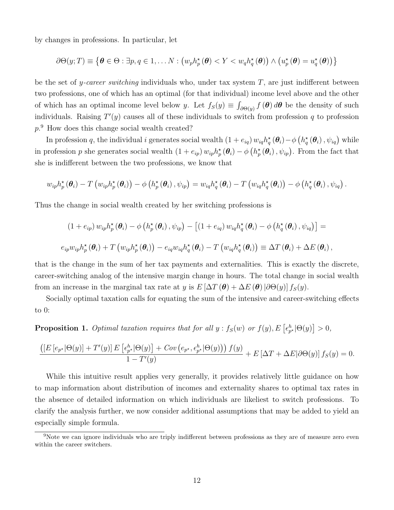by changes in professions. In particular, let

$$
\partial \Theta(y;T) \equiv \left\{ \boldsymbol{\theta} \in \Theta : \exists p,q \in 1,\ldots N : \left( w_p h_p^{\star}(\boldsymbol{\theta}) < Y < w_q h_q^{\star}(\boldsymbol{\theta}) \right) \wedge \left( u_p^{\star}(\boldsymbol{\theta}) = u_q^{\star}(\boldsymbol{\theta}) \right) \right\}
$$

be the set of y-career switching individuals who, under tax system  $T$ , are just indifferent between two professions, one of which has an optimal (for that individual) income level above and the other of which has an optimal income level below y. Let  $f_S(y) \equiv \int_{\partial \Theta(y)} f(\theta) d\theta$  be the density of such individuals. Raising  $T'(y)$  causes all of these individuals to switch from profession q to profession p. <sup>9</sup> How does this change social wealth created?

In profession q, the individual i generates social wealth  $(1+e_{iq}) w_{iq} h_q^* (\theta_i) - \phi(h_q^* (\theta_i), \psi_{iq})$  while in profession p she generates social wealth  $(1+e_{ip}) w_{ip} h_p^{\star}(\theta_i) - \phi(h_p^{\star}(\theta_i), \psi_{ip})$ . From the fact that she is indifferent between the two professions, we know that

$$
w_{ip}h_p^{\star}(\theta_i) - T(w_{ip}h_p^{\star}(\theta_i)) - \phi(h_p^{\star}(\theta_i), \psi_{ip}) = w_{iq}h_q^{\star}(\theta_i) - T(w_{iq}h_q^{\star}(\theta_i)) - \phi(h_q^{\star}(\theta_i), \psi_{iq}).
$$

Thus the change in social wealth created by her switching professions is

$$
(1 + e_{ip}) w_{ip} h_p^{\star}(\boldsymbol{\theta}_i) - \phi \left( h_p^{\star}(\boldsymbol{\theta}_i), \psi_{ip} \right) - \left[ (1 + e_{iq}) w_{iq} h_q^{\star}(\boldsymbol{\theta}_i) - \phi \left( h_q^{\star}(\boldsymbol{\theta}_i), \psi_{iq} \right) \right] =
$$
  

$$
e_{ip} w_{ip} h_p^{\star}(\boldsymbol{\theta}_i) + T \left( w_{ip} h_p^{\star}(\boldsymbol{\theta}_i) \right) - e_{iq} w_{iq} h_q^{\star}(\boldsymbol{\theta}_i) - T \left( w_{iq} h_q^{\star}(\boldsymbol{\theta}_i) \right) \equiv \Delta T (\boldsymbol{\theta}_i) + \Delta E (\boldsymbol{\theta}_i),
$$

that is the change in the sum of her tax payments and externalities. This is exactly the discrete, career-switching analog of the intensive margin change in hours. The total change in social wealth from an increase in the marginal tax rate at y is  $E[\Delta T(\theta) + \Delta E(\theta) | \partial \Theta(y)] f_S(y)$ .

Socially optimal taxation calls for equating the sum of the intensive and career-switching effects to 0:

**Proposition 1.** Optimal taxation requires that for all  $y : f_S(w)$  or  $f(y), E\left[\epsilon_{p^*}^h | \Theta(y)\right] > 0$ ,

$$
\frac{\left(\left[E\left[e_{p^\star}|\Theta(y)\right]+T'(y)\right]E\left[\epsilon_{p^\star}^h|\Theta(y)\right]+Cov\left(e_{p^\star},\epsilon_{p^\star}^h|\Theta(y)\right)\right)f(y)}{1-T'(y)}+E\left[\Delta T+\Delta E|\partial\Theta(y)\right]f_S(y)=0.
$$

While this intuitive result applies very generally, it provides relatively little guidance on how to map information about distribution of incomes and externality shares to optimal tax rates in the absence of detailed information on which individuals are likeliest to switch professions. To clarify the analysis further, we now consider additional assumptions that may be added to yield an especially simple formula.

 $9N$ ote we can ignore individuals who are triply indifferent between professions as they are of measure zero even within the career switchers.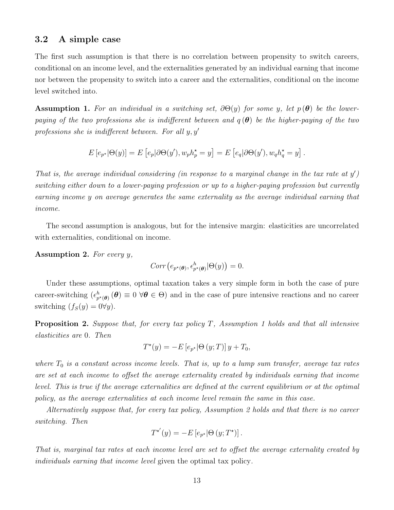#### 3.2 A simple case

The first such assumption is that there is no correlation between propensity to switch careers, conditional on an income level, and the externalities generated by an individual earning that income nor between the propensity to switch into a career and the externalities, conditional on the income level switched into.

**Assumption 1.** For an individual in a switching set,  $\partial \Theta(y)$  for some y, let  $p(\theta)$  be the lowerpaying of the two professions she is indifferent between and  $q(\theta)$  be the higher-paying of the two professions she is indifferent between. For all  $y, y'$ 

$$
E\left[e_{p^\star}|\Theta(y)\right] = E\left[e_p|\partial\Theta(y'), w_p h_p^\star = y\right] = E\left[e_q|\partial\Theta(y'), w_q h_q^\star = y\right].
$$

That is, the average individual considering (in response to a marginal change in the tax rate at  $y'$ ) switching either down to a lower-paying profession or up to a higher-paying profession but currently earning income y on average generates the same externality as the average individual earning that income.

The second assumption is analogous, but for the intensive margin: elasticities are uncorrelated with externalities, conditional on income.

Assumption 2. For every y,

$$
Corr\left(e_{p^{\star}(\boldsymbol{\theta})}, \epsilon^h_{p^{\star}(\boldsymbol{\theta})} | \Theta(y)\right) = 0.
$$

Under these assumptions, optimal taxation takes a very simple form in both the case of pure career-switching  $(\epsilon_{p^*(\theta)}^h(\theta) \equiv 0 \,\forall \theta \in \Theta)$  and in the case of pure intensive reactions and no career switching  $(f_S(y) = 0 \forall y)$ .

**Proposition 2.** Suppose that, for every tax policy T, Assumption 1 holds and that all intensive elasticities are 0. Then

$$
T^{\star}(y) = -E\left[e_{p^{\star}}|\Theta\left(y;T\right)\right]y + T_0,
$$

where  $T_0$  is a constant across income levels. That is, up to a lump sum transfer, average tax rates are set at each income to offset the average externality created by individuals earning that income level. This is true if the average externalities are defined at the current equilibrium or at the optimal policy, as the average externalities at each income level remain the same in this case.

Alternatively suppose that, for every tax policy, Assumption 2 holds and that there is no career switching. Then

$$
T^{\star'}(y) = -E\left[e_{p^{\star}}|\Theta\left(y;T^{\star}\right)\right].
$$

That is, marginal tax rates at each income level are set to offset the average externality created by individuals earning that income level given the optimal tax policy.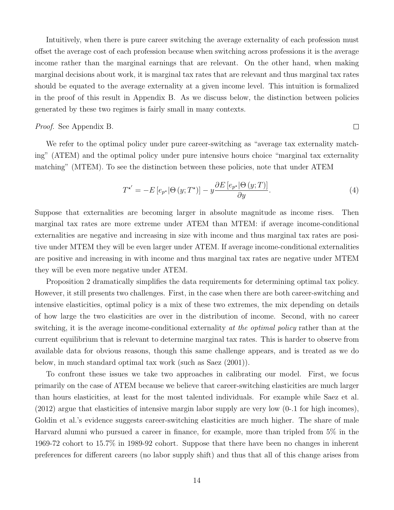Intuitively, when there is pure career switching the average externality of each profession must offset the average cost of each profession because when switching across professions it is the average income rather than the marginal earnings that are relevant. On the other hand, when making marginal decisions about work, it is marginal tax rates that are relevant and thus marginal tax rates should be equated to the average externality at a given income level. This intuition is formalized in the proof of this result in Appendix B. As we discuss below, the distinction between policies generated by these two regimes is fairly small in many contexts.

#### Proof. See Appendix B.

We refer to the optimal policy under pure career-switching as "average tax externality matching" (ATEM) and the optimal policy under pure intensive hours choice "marginal tax externality matching" (MTEM). To see the distinction between these policies, note that under ATEM

$$
T^{\star'} = -E\left[e_{p^{\star}}|\Theta\left(y;T^{\star}\right)\right] - y\frac{\partial E\left[e_{p^{\star}}|\Theta\left(y;T\right)\right]}{\partial y}.\tag{4}
$$

 $\Box$ 

Suppose that externalities are becoming larger in absolute magnitude as income rises. Then marginal tax rates are more extreme under ATEM than MTEM: if average income-conditional externalities are negative and increasing in size with income and thus marginal tax rates are positive under MTEM they will be even larger under ATEM. If average income-conditional externalities are positive and increasing in with income and thus marginal tax rates are negative under MTEM they will be even more negative under ATEM.

Proposition 2 dramatically simplifies the data requirements for determining optimal tax policy. However, it still presents two challenges. First, in the case when there are both career-switching and intensive elasticities, optimal policy is a mix of these two extremes, the mix depending on details of how large the two elasticities are over in the distribution of income. Second, with no career switching, it is the average income-conditional externality at the optimal policy rather than at the current equilibrium that is relevant to determine marginal tax rates. This is harder to observe from available data for obvious reasons, though this same challenge appears, and is treated as we do below, in much standard optimal tax work (such as Saez (2001)).

To confront these issues we take two approaches in calibrating our model. First, we focus primarily on the case of ATEM because we believe that career-switching elasticities are much larger than hours elasticities, at least for the most talented individuals. For example while Saez et al. (2012) argue that elasticities of intensive margin labor supply are very low (0-.1 for high incomes), Goldin et al.'s evidence suggests career-switching elasticities are much higher. The share of male Harvard alumni who pursued a career in finance, for example, more than tripled from 5% in the 1969-72 cohort to 15.7% in 1989-92 cohort. Suppose that there have been no changes in inherent preferences for different careers (no labor supply shift) and thus that all of this change arises from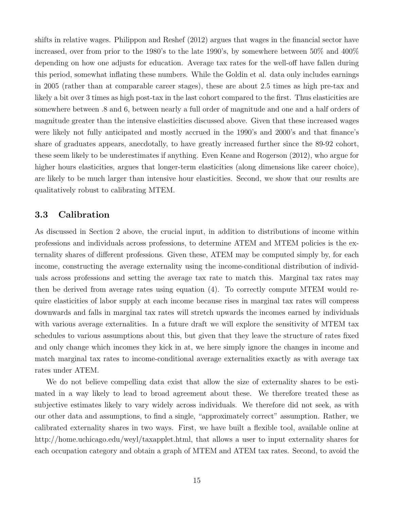shifts in relative wages. Philippon and Reshef (2012) argues that wages in the financial sector have increased, over from prior to the 1980's to the late 1990's, by somewhere between 50% and 400% depending on how one adjusts for education. Average tax rates for the well-off have fallen during this period, somewhat inflating these numbers. While the Goldin et al. data only includes earnings in 2005 (rather than at comparable career stages), these are about 2.5 times as high pre-tax and likely a bit over 3 times as high post-tax in the last cohort compared to the first. Thus elasticities are somewhere between .8 and 6, between nearly a full order of magnitude and one and a half orders of magnitude greater than the intensive elasticities discussed above. Given that these increased wages were likely not fully anticipated and mostly accrued in the 1990's and 2000's and that finance's share of graduates appears, anecdotally, to have greatly increased further since the 89-92 cohort, these seem likely to be underestimates if anything. Even Keane and Rogerson (2012), who argue for higher hours elasticities, argues that longer-term elasticities (along dimensions like career choice), are likely to be much larger than intensive hour elasticities. Second, we show that our results are qualitatively robust to calibrating MTEM.

### 3.3 Calibration

As discussed in Section 2 above, the crucial input, in addition to distributions of income within professions and individuals across professions, to determine ATEM and MTEM policies is the externality shares of different professions. Given these, ATEM may be computed simply by, for each income, constructing the average externality using the income-conditional distribution of individuals across professions and setting the average tax rate to match this. Marginal tax rates may then be derived from average rates using equation (4). To correctly compute MTEM would require elasticities of labor supply at each income because rises in marginal tax rates will compress downwards and falls in marginal tax rates will stretch upwards the incomes earned by individuals with various average externalities. In a future draft we will explore the sensitivity of MTEM tax schedules to various assumptions about this, but given that they leave the structure of rates fixed and only change which incomes they kick in at, we here simply ignore the changes in income and match marginal tax rates to income-conditional average externalities exactly as with average tax rates under ATEM.

We do not believe compelling data exist that allow the size of externality shares to be estimated in a way likely to lead to broad agreement about these. We therefore treated these as subjective estimates likely to vary widely across individuals. We therefore did not seek, as with our other data and assumptions, to find a single, "approximately correct" assumption. Rather, we calibrated externality shares in two ways. First, we have built a flexible tool, available online at http://home.uchicago.edu/weyl/taxapplet.html, that allows a user to input externality shares for each occupation category and obtain a graph of MTEM and ATEM tax rates. Second, to avoid the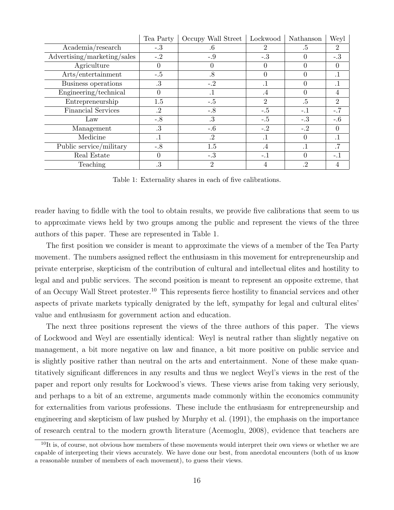|                             | Tea Party | Occupy Wall Street | Lockwood       | Nathanson | Weyl           |
|-----------------------------|-----------|--------------------|----------------|-----------|----------------|
| Academia/research           | $-.3$     | .6                 | 2              | .5        | 2              |
| Advertising/marketing/sales | $-.2$     | $-.9$              | -.3            | 0         | $-.3$          |
| Agriculture                 | 0         |                    |                | 0         | $\theta$       |
| Arts/entertainment          | $-.5$     | .8                 | $\theta$       | 0         | $\cdot$ 1      |
| Business operations         | .3        | $-.2$              | .1             |           | $\cdot$ 1      |
| Engineering/technical       | 0         | $\cdot$ 1          | $\cdot$        | 0         | 4              |
| Entrepreneurship            | 1.5       | $-.5$              | $\overline{2}$ | $.5\,$    | $\overline{2}$ |
| <b>Financial Services</b>   | .2        | $-.8$              | $-.5$          | $-.1$     | $-.7$          |
| Law                         | $-.8$     | .3                 | $-.5$          | $-.3$     | $-.6$          |
| Management                  | .3        | $-0.6$             | $-.2$          | $-.2$     | $\Omega$       |
| Medicine                    | $\cdot$ 1 | .2                 | .1             | 0         | $\cdot$ 1      |
| Public service/military     | $-.8$     | 1.5                | $\cdot^4$      | . 1       | .7             |
| Real Estate                 | 0         | $-.3$              | -.1            | 0         | $-.1$          |
| Teaching                    | .3        | $\overline{2}$     |                | .2        |                |

Table 1: Externality shares in each of five calibrations.

reader having to fiddle with the tool to obtain results, we provide five calibrations that seem to us to approximate views held by two groups among the public and represent the views of the three authors of this paper. These are represented in Table 1.

The first position we consider is meant to approximate the views of a member of the Tea Party movement. The numbers assigned reflect the enthusiasm in this movement for entrepreneurship and private enterprise, skepticism of the contribution of cultural and intellectual elites and hostility to legal and and public services. The second position is meant to represent an opposite extreme, that of an Occupy Wall Street protester.<sup>10</sup> This represents fierce hostility to financial services and other aspects of private markets typically denigrated by the left, sympathy for legal and cultural elites' value and enthusiasm for government action and education.

The next three positions represent the views of the three authors of this paper. The views of Lockwood and Weyl are essentially identical: Weyl is neutral rather than slightly negative on management, a bit more negative on law and finance, a bit more positive on public service and is slightly positive rather than neutral on the arts and entertainment. None of these make quantitatively significant differences in any results and thus we neglect Weyl's views in the rest of the paper and report only results for Lockwood's views. These views arise from taking very seriously, and perhaps to a bit of an extreme, arguments made commonly within the economics community for externalities from various professions. These include the enthusiasm for entrepreneurship and engineering and skepticism of law pushed by Murphy et al. (1991), the emphasis on the importance of research central to the modern growth literature (Acemoglu, 2008), evidence that teachers are

 $10$ It is, of course, not obvious how members of these movements would interpret their own views or whether we are capable of interpreting their views accurately. We have done our best, from anecdotal encounters (both of us know a reasonable number of members of each movement), to guess their views.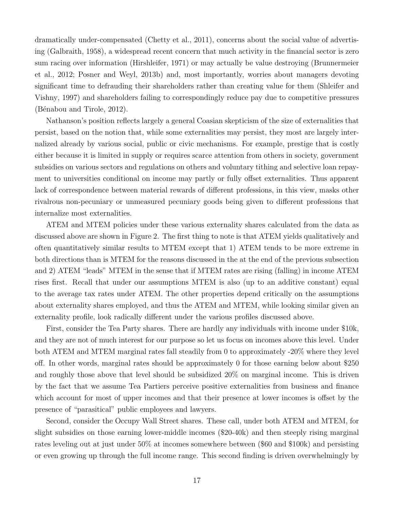dramatically under-compensated (Chetty et al., 2011), concerns about the social value of advertising (Galbraith, 1958), a widespread recent concern that much activity in the financial sector is zero sum racing over information (Hirshleifer, 1971) or may actually be value destroying (Brunnermeier et al., 2012; Posner and Weyl, 2013b) and, most importantly, worries about managers devoting significant time to defrauding their shareholders rather than creating value for them (Shleifer and Vishny, 1997) and shareholders failing to correspondingly reduce pay due to competitive pressures (Bénabou and Tirole, 2012).

Nathanson's position reflects largely a general Coasian skepticism of the size of externalities that persist, based on the notion that, while some externalities may persist, they most are largely internalized already by various social, public or civic mechanisms. For example, prestige that is costly either because it is limited in supply or requires scarce attention from others in society, government subsidies on various sectors and regulations on others and voluntary tithing and selective loan repayment to universities conditional on income may partly or fully offset externalities. Thus apparent lack of correspondence between material rewards of different professions, in this view, masks other rivalrous non-pecuniary or unmeasured pecuniary goods being given to different professions that internalize most externalities.

ATEM and MTEM policies under these various externality shares calculated from the data as discussed above are shown in Figure 2. The first thing to note is that ATEM yields qualitatively and often quantitatively similar results to MTEM except that 1) ATEM tends to be more extreme in both directions than is MTEM for the reasons discussed in the at the end of the previous subsection and 2) ATEM "leads" MTEM in the sense that if MTEM rates are rising (falling) in income ATEM rises first. Recall that under our assumptions MTEM is also (up to an additive constant) equal to the average tax rates under ATEM. The other properties depend critically on the assumptions about externality shares employed, and thus the ATEM and MTEM, while looking similar given an externality profile, look radically different under the various profiles discussed above.

First, consider the Tea Party shares. There are hardly any individuals with income under \$10k, and they are not of much interest for our purpose so let us focus on incomes above this level. Under both ATEM and MTEM marginal rates fall steadily from 0 to approximately -20% where they level off. In other words, marginal rates should be approximately 0 for those earning below about \$250 and roughly those above that level should be subsidized 20% on marginal income. This is driven by the fact that we assume Tea Partiers perceive positive externalities from business and finance which account for most of upper incomes and that their presence at lower incomes is offset by the presence of "parasitical" public employees and lawyers.

Second, consider the Occupy Wall Street shares. These call, under both ATEM and MTEM, for slight subsidies on those earning lower-middle incomes (\$20-40k) and then steeply rising marginal rates leveling out at just under 50% at incomes somewhere between (\$60 and \$100k) and persisting or even growing up through the full income range. This second finding is driven overwhelmingly by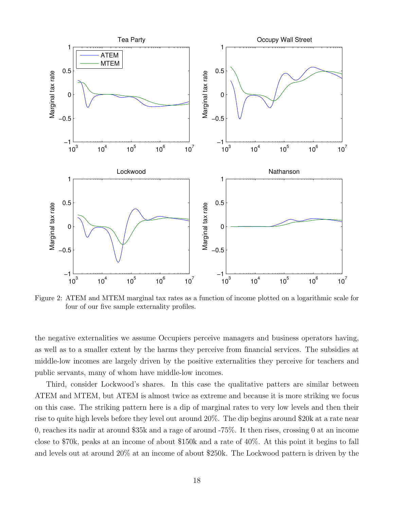

 $\overline{a}$ four of our five sample externality profiles. Figure 2: ATEM and MTEM marginal tax rates as a function of income plotted on a logarithmic scale for

middle-low incomes are largely driven by the positive externalities they perceive for teachers and the negative externalities we assume Occupiers perceive managers and business operators having, ne<br>ell<br>ic<br>.. as well as to a smaller extent by the harms they perceive from financial services. The subsidies at public servants, many of whom have middle-low incomes.

on this case. The striking pattern here is a dip of marginal rates to very low levels and then their Third, consider Lockwood's shares. In this case the qualitative patters are similar between rise to quite high levels before they level out around  $20\%$ . The dip begins around  $\$20\mathrm{k}$  at a rate near ATEM and MTEM, but ATEM is almost twice as extreme and because it is more striking we focus 0, reaches its nadir at around \$35k and a rage of around -75%. It then rises, crossing 0 at an income close to \$70k, peaks at an income of about \$150k and a rate of 40%. At this point it begins to fall and levels out at around 20% at an income of about \$250k. The Lockwood pattern is driven by the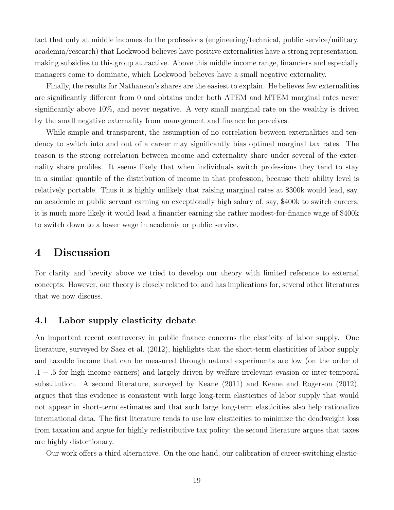fact that only at middle incomes do the professions (engineering/technical, public service/military, academia/research) that Lockwood believes have positive externalities have a strong representation, making subsidies to this group attractive. Above this middle income range, financiers and especially managers come to dominate, which Lockwood believes have a small negative externality.

Finally, the results for Nathanson's shares are the easiest to explain. He believes few externalities are significantly different from 0 and obtains under both ATEM and MTEM marginal rates never significantly above 10%, and never negative. A very small marginal rate on the wealthy is driven by the small negative externality from management and finance he perceives.

While simple and transparent, the assumption of no correlation between externalities and tendency to switch into and out of a career may significantly bias optimal marginal tax rates. The reason is the strong correlation between income and externality share under several of the externality share profiles. It seems likely that when individuals switch professions they tend to stay in a similar quantile of the distribution of income in that profession, because their ability level is relatively portable. Thus it is highly unlikely that raising marginal rates at \$300k would lead, say, an academic or public servant earning an exceptionally high salary of, say, \$400k to switch careers; it is much more likely it would lead a financier earning the rather modest-for-finance wage of \$400k to switch down to a lower wage in academia or public service.

## 4 Discussion

For clarity and brevity above we tried to develop our theory with limited reference to external concepts. However, our theory is closely related to, and has implications for, several other literatures that we now discuss.

### 4.1 Labor supply elasticity debate

An important recent controversy in public finance concerns the elasticity of labor supply. One literature, surveyed by Saez et al. (2012), highlights that the short-term elasticities of labor supply and taxable income that can be measured through natural experiments are low (on the order of .1 − .5 for high income earners) and largely driven by welfare-irrelevant evasion or inter-temporal substitution. A second literature, surveyed by Keane (2011) and Keane and Rogerson (2012), argues that this evidence is consistent with large long-term elasticities of labor supply that would not appear in short-term estimates and that such large long-term elasticities also help rationalize international data. The first literature tends to use low elasticities to minimize the deadweight loss from taxation and argue for highly redistributive tax policy; the second literature argues that taxes are highly distortionary.

Our work offers a third alternative. On the one hand, our calibration of career-switching elastic-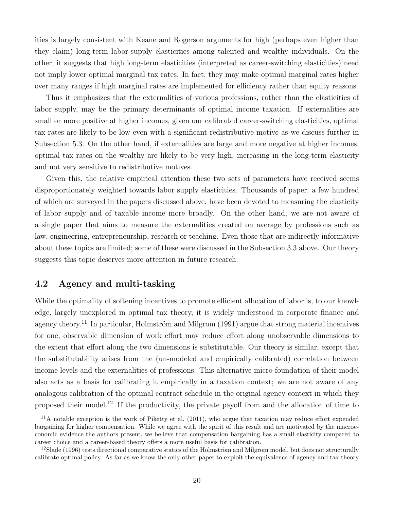ities is largely consistent with Keane and Rogerson arguments for high (perhaps even higher than they claim) long-term labor-supply elasticities among talented and wealthy individuals. On the other, it suggests that high long-term elasticities (interpreted as career-switching elasticities) need not imply lower optimal marginal tax rates. In fact, they may make optimal marginal rates higher over many ranges if high marginal rates are implemented for efficiency rather than equity reasons.

Thus it emphasizes that the externalities of various professions, rather than the elasticities of labor supply, may be the primary determinants of optimal income taxation. If externalities are small or more positive at higher incomes, given our calibrated career-switching elasticities, optimal tax rates are likely to be low even with a significant redistributive motive as we discuss further in Subsection 5.3. On the other hand, if externalities are large and more negative at higher incomes, optimal tax rates on the wealthy are likely to be very high, increasing in the long-term elasticity and not very sensitive to redistributive motives.

Given this, the relative empirical attention these two sets of parameters have received seems disproportionately weighted towards labor supply elasticities. Thousands of paper, a few hundred of which are surveyed in the papers discussed above, have been devoted to measuring the elasticity of labor supply and of taxable income more broadly. On the other hand, we are not aware of a single paper that aims to measure the externalities created on average by professions such as law, engineering, entrepreneurship, research or teaching. Even those that are indirectly informative about these topics are limited; some of these were discussed in the Subsection 3.3 above. Our theory suggests this topic deserves more attention in future research.

### 4.2 Agency and multi-tasking

While the optimality of softening incentives to promote efficient allocation of labor is, to our knowledge, largely unexplored in optimal tax theory, it is widely understood in corporate finance and agency theory.<sup>11</sup> In particular, Holmström and Milgrom (1991) argue that strong material incentives for one, observable dimension of work effort may reduce effort along unobservable dimensions to the extent that effort along the two dimensions is substitutable. Our theory is similar, except that the substitutability arises from the (un-modeled and empirically calibrated) correlation between income levels and the externalities of professions. This alternative micro-foundation of their model also acts as a basis for calibrating it empirically in a taxation context; we are not aware of any analogous calibration of the optimal contract schedule in the original agency context in which they proposed their model.<sup>12</sup> If the productivity, the private payoff from and the allocation of time to

 $11$ A notable exception is the work of Piketty et al. (2011), who argue that taxation may reduce effort expended bargaining for higher compensation. While we agree with the spirit of this result and are motivated by the macroeconomic evidence the authors present, we believe that compensation bargaining has a small elasticity compared to career choice and a career-based theory offers a more useful basis for calibration.

 $12$ Slade (1996) tests directional comparative statics of the Holmström and Milgrom model, but does not structurally calibrate optimal policy. As far as we know the only other paper to exploit the equivalence of agency and tax theory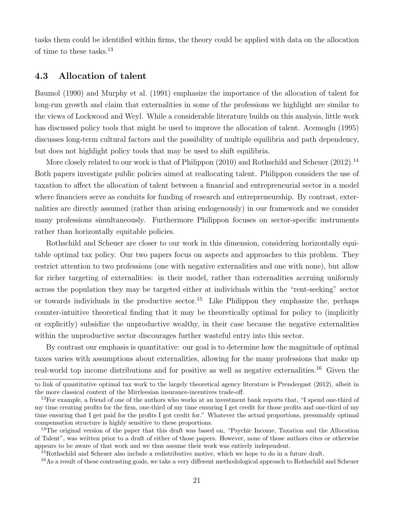tasks them could be identified within firms, the theory could be applied with data on the allocation of time to these tasks.<sup>13</sup>

### 4.3 Allocation of talent

Baumol (1990) and Murphy et al. (1991) emphasize the importance of the allocation of talent for long-run growth and claim that externalities in some of the professions we highlight are similar to the views of Lockwood and Weyl. While a considerable literature builds on this analysis, little work has discussed policy tools that might be used to improve the allocation of talent. Acemoglu (1995) discusses long-term cultural factors and the possibility of multiple equilibria and path dependency, but does not highlight policy tools that may be used to shift equilibria.

More closely related to our work is that of Philippon  $(2010)$  and Rothschild and Scheuer  $(2012)$ .<sup>14</sup> Both papers investigate public policies aimed at reallocating talent. Philippon considers the use of taxation to affect the allocation of talent between a financial and entrepreneurial sector in a model where financiers serve as conduits for funding of research and entrepreneurship. By contrast, externalities are directly assumed (rather than arising endogenously) in our framework and we consider many professions simultaneously. Furthermore Philippon focuses on sector-specific instruments rather than horizontally equitable policies.

Rothschild and Scheuer are closer to our work in this dimension, considering horizontally equitable optimal tax policy. Our two papers focus on aspects and approaches to this problem. They restrict attention to two professions (one with negative externalities and one with none), but allow for richer targeting of externalities: in their model, rather than externalities accruing uniformly across the population they may be targeted either at individuals within the "rent-seeking" sector or towards individuals in the productive sector.<sup>15</sup> Like Philippon they emphasize the, perhaps counter-intuitive theoretical finding that it may be theoretically optimal for policy to (implicitly or explicitly) subsidize the unproductive wealthy, in their case because the negative externalities within the unproductive sector discourages further wasteful entry into this sector.

By contrast our emphasis is quantitative: our goal is to determine how the magnitude of optimal taxes varies with assumptions about externalities, allowing for the many professions that make up real-world top income distributions and for positive as well as negative externalities.<sup>16</sup> Given the

to link of quantitative optimal tax work to the largely theoretical agency literature is Prendergast (2012), albeit in the more classical context of the Mirrleesian insurance-incentives trade-off.

<sup>&</sup>lt;sup>13</sup>For example, a friend of one of the authors who works at an investment bank reports that, "I spend one-third of my time creating profits for the firm, one-third of my time ensuring I get credit for those profits and one-third of my time ensuring that I get paid for the profits I got credit for." Whatever the actual proportions, presumably optimal compensation structure is highly sensitive to these proportions.

<sup>&</sup>lt;sup>14</sup>The original version of the paper that this draft was based on, "Psychic Income, Taxation and the Allocation of Talent", was written prior to a draft of either of those papers. However, none of those authors cites or otherwise appears to be aware of that work and we thus assume their work was entirely independent.

<sup>&</sup>lt;sup>15</sup>Rothschild and Scheuer also include a redistributive motive, which we hope to do in a future draft.

<sup>&</sup>lt;sup>16</sup>As a result of these contrasting goals, we take a very different methodological approach to Rothschild and Scheuer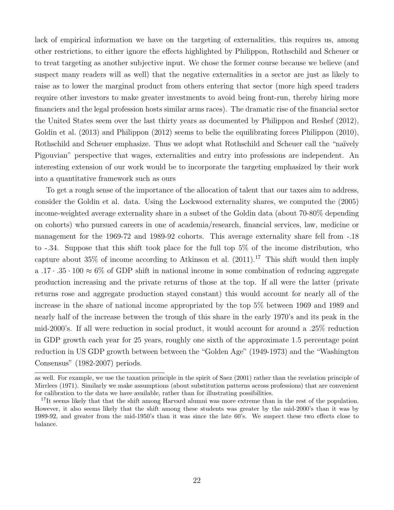lack of empirical information we have on the targeting of externalities, this requires us, among other restrictions, to either ignore the effects highlighted by Philippon, Rothschild and Scheuer or to treat targeting as another subjective input. We chose the former course because we believe (and suspect many readers will as well) that the negative externalities in a sector are just as likely to raise as to lower the marginal product from others entering that sector (more high speed traders require other investors to make greater investments to avoid being front-run, thereby hiring more financiers and the legal profession hosts similar arms races). The dramatic rise of the financial sector the United States seem over the last thirty years as documented by Philippon and Reshef (2012), Goldin et al. (2013) and Philippon (2012) seems to belie the equilibrating forces Philippon (2010), Rothschild and Scheuer emphasize. Thus we adopt what Rothschild and Scheuer call the "naïvely Pigouvian" perspective that wages, externalities and entry into professions are independent. An interesting extension of our work would be to incorporate the targeting emphasized by their work into a quantitative framework such as ours

To get a rough sense of the importance of the allocation of talent that our taxes aim to address, consider the Goldin et al. data. Using the Lockwood externality shares, we computed the (2005) income-weighted average externality share in a subset of the Goldin data (about 70-80% depending on cohorts) who pursued careers in one of academia/research, financial services, law, medicine or management for the 1969-72 and 1989-92 cohorts. This average externality share fell from -.18 to -.34. Suppose that this shift took place for the full top 5% of the income distribution, who capture about 35% of income according to Atkinson et al.  $(2011).^{17}$  This shift would then imply a .17 · .35 · 100  $\approx$  6% of GDP shift in national income in some combination of reducing aggregate production increasing and the private returns of those at the top. If all were the latter (private returns rose and aggregate production stayed constant) this would account for nearly all of the increase in the share of national income appropriated by the top 5% between 1969 and 1989 and nearly half of the increase between the trough of this share in the early 1970's and its peak in the mid-2000's. If all were reduction in social product, it would account for around a .25% reduction in GDP growth each year for 25 years, roughly one sixth of the approximate 1.5 percentage point reduction in US GDP growth between between the "Golden Age" (1949-1973) and the "Washington Consensus" (1982-2007) periods.

as well. For example, we use the taxation principle in the spirit of Saez (2001) rather than the revelation principle of Mirrlees (1971). Similarly we make assumptions (about substitution patterns across professions) that are convenient for calibration to the data we have available, rather than for illustrating possibilities.

<sup>&</sup>lt;sup>17</sup>It seems likely that that the shift among Harvard alumni was more extreme than in the rest of the population. However, it also seems likely that the shift among these students was greater by the mid-2000's than it was by 1989-92, and greater from the mid-1950's than it was since the late 60's. We suspect these two effects close to balance.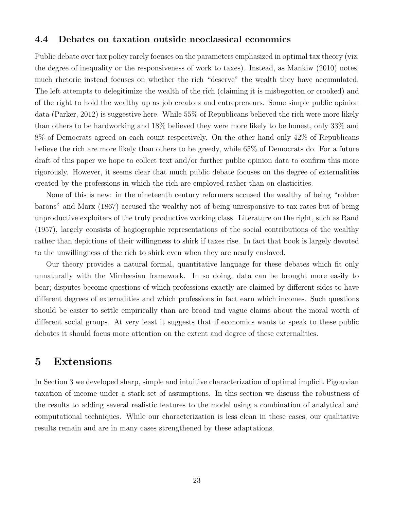### 4.4 Debates on taxation outside neoclassical economics

Public debate over tax policy rarely focuses on the parameters emphasized in optimal tax theory (viz. the degree of inequality or the responsiveness of work to taxes). Instead, as Mankiw (2010) notes, much rhetoric instead focuses on whether the rich "deserve" the wealth they have accumulated. The left attempts to delegitimize the wealth of the rich (claiming it is misbegotten or crooked) and of the right to hold the wealthy up as job creators and entrepreneurs. Some simple public opinion data (Parker, 2012) is suggestive here. While 55% of Republicans believed the rich were more likely than others to be hardworking and 18% believed they were more likely to be honest, only 33% and 8% of Democrats agreed on each count respectively. On the other hand only 42% of Republicans believe the rich are more likely than others to be greedy, while 65% of Democrats do. For a future draft of this paper we hope to collect text and/or further public opinion data to confirm this more rigorously. However, it seems clear that much public debate focuses on the degree of externalities created by the professions in which the rich are employed rather than on elasticities.

None of this is new: in the nineteenth century reformers accused the wealthy of being "robber barons" and Marx (1867) accused the wealthy not of being unresponsive to tax rates but of being unproductive exploiters of the truly productive working class. Literature on the right, such as Rand (1957), largely consists of hagiographic representations of the social contributions of the wealthy rather than depictions of their willingness to shirk if taxes rise. In fact that book is largely devoted to the unwillingness of the rich to shirk even when they are nearly enslaved.

Our theory provides a natural formal, quantitative language for these debates which fit only unnaturally with the Mirrleesian framework. In so doing, data can be brought more easily to bear; disputes become questions of which professions exactly are claimed by different sides to have different degrees of externalities and which professions in fact earn which incomes. Such questions should be easier to settle empirically than are broad and vague claims about the moral worth of different social groups. At very least it suggests that if economics wants to speak to these public debates it should focus more attention on the extent and degree of these externalities.

### 5 Extensions

In Section 3 we developed sharp, simple and intuitive characterization of optimal implicit Pigouvian taxation of income under a stark set of assumptions. In this section we discuss the robustness of the results to adding several realistic features to the model using a combination of analytical and computational techniques. While our characterization is less clean in these cases, our qualitative results remain and are in many cases strengthened by these adaptations.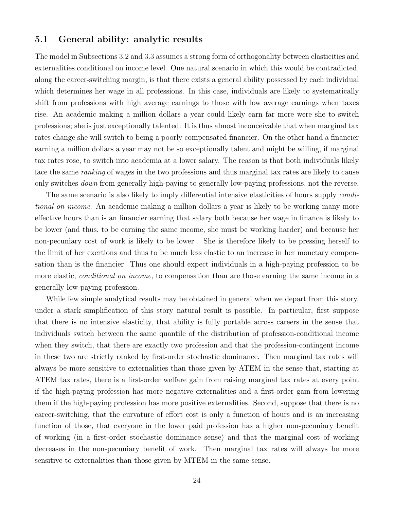#### 5.1 General ability: analytic results

The model in Subsections 3.2 and 3.3 assumes a strong form of orthogonality between elasticities and externalities conditional on income level. One natural scenario in which this would be contradicted, along the career-switching margin, is that there exists a general ability possessed by each individual which determines her wage in all professions. In this case, individuals are likely to systematically shift from professions with high average earnings to those with low average earnings when taxes rise. An academic making a million dollars a year could likely earn far more were she to switch professions; she is just exceptionally talented. It is thus almost inconceivable that when marginal tax rates change she will switch to being a poorly compensated financier. On the other hand a financier earning a million dollars a year may not be so exceptionally talent and might be willing, if marginal tax rates rose, to switch into academia at a lower salary. The reason is that both individuals likely face the same *ranking* of wages in the two professions and thus marginal tax rates are likely to cause only switches *down* from generally high-paying to generally low-paying professions, not the reverse.

The same scenario is also likely to imply differential intensive elasticities of hours supply conditional on income. An academic making a million dollars a year is likely to be working many more effective hours than is an financier earning that salary both because her wage in finance is likely to be lower (and thus, to be earning the same income, she must be working harder) and because her non-pecuniary cost of work is likely to be lower . She is therefore likely to be pressing herself to the limit of her exertions and thus to be much less elastic to an increase in her monetary compensation than is the financier. Thus one should expect individuals in a high-paying profession to be more elastic, *conditional on income*, to compensation than are those earning the same income in a generally low-paying profession.

While few simple analytical results may be obtained in general when we depart from this story, under a stark simplification of this story natural result is possible. In particular, first suppose that there is no intensive elasticity, that ability is fully portable across careers in the sense that individuals switch between the same quantile of the distribution of profession-conditional income when they switch, that there are exactly two profession and that the profession-contingent income in these two are strictly ranked by first-order stochastic dominance. Then marginal tax rates will always be more sensitive to externalities than those given by ATEM in the sense that, starting at ATEM tax rates, there is a first-order welfare gain from raising marginal tax rates at every point if the high-paying profession has more negative externalities and a first-order gain from lowering them if the high-paying profession has more positive externalities. Second, suppose that there is no career-switching, that the curvature of effort cost is only a function of hours and is an increasing function of those, that everyone in the lower paid profession has a higher non-pecuniary benefit of working (in a first-order stochastic dominance sense) and that the marginal cost of working decreases in the non-pecuniary benefit of work. Then marginal tax rates will always be more sensitive to externalities than those given by MTEM in the same sense.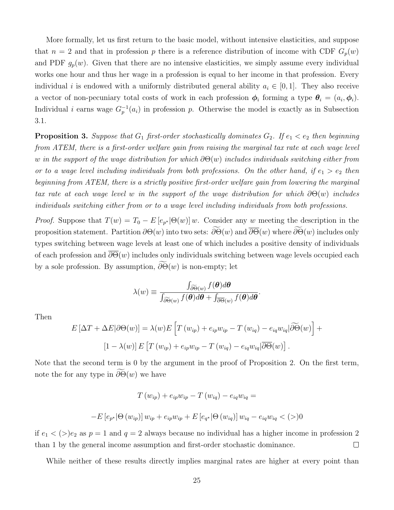More formally, let us first return to the basic model, without intensive elasticities, and suppose that  $n = 2$  and that in profession p there is a reference distribution of income with CDF  $G_p(w)$ and PDF  $g_p(w)$ . Given that there are no intensive elasticities, we simply assume every individual works one hour and thus her wage in a profession is equal to her income in that profession. Every individual i is endowed with a uniformly distributed general ability  $a_i \in [0,1]$ . They also receive a vector of non-pecuniary total costs of work in each profession  $\phi_i$  forming a type  $\theta_i = (a_i, \phi_i)$ . Individual i earns wage  $G_p^{-1}(a_i)$  in profession p. Otherwise the model is exactly as in Subsection 3.1.

**Proposition 3.** Suppose that  $G_1$  first-order stochastically dominates  $G_2$ . If  $e_1 < e_2$  then beginning from ATEM, there is a first-order welfare gain from raising the marginal tax rate at each wage level w in the support of the wage distribution for which  $\partial \Theta(w)$  includes individuals switching either from or to a wage level including individuals from both professions. On the other hand, if  $e_1 > e_2$  then beginning from ATEM, there is a strictly positive first-order welfare gain from lowering the marginal tax rate at each wage level w in the support of the wage distribution for which  $\partial\Theta(w)$  includes individuals switching either from or to a wage level including individuals from both professions.

*Proof.* Suppose that  $T(w) = T_0 - E[e_{p^*}|\Theta(w)]w$ . Consider any w meeting the description in the proposition statement. Partition  $\partial \Theta(w)$  into two sets:  $\widetilde{\partial \Theta}(w)$  and  $\overline{\partial \Theta}(w)$  where  $\widetilde{\partial \Theta}(w)$  includes only types switching between wage levels at least one of which includes a positive density of individuals of each profession and  $\overline{\partial\Theta}(w)$  includes only individuals switching between wage levels occupied each by a sole profession. By assumption,  $\partial \Theta(w)$  is non-empty; let

$$
\lambda(w) \equiv \frac{\int_{\partial \widetilde{\Theta}(w)} f(\boldsymbol{\theta}) d\boldsymbol{\theta}}{\int_{\partial \widetilde{\Theta}(w)} f(\boldsymbol{\theta}) d\boldsymbol{\theta} + \int_{\partial \Theta(w)} f(\boldsymbol{\theta}) d\boldsymbol{\theta}}
$$

.

Then

$$
E\left[\Delta T + \Delta E|\partial\Theta(w)\right] = \lambda(w)E\left[T\left(w_{ip}\right) + e_{ip}w_{ip} - T\left(w_{iq}\right) - e_{iq}w_{iq}|\widetilde{\partial\Theta}(w)\right] +
$$

$$
\left[1 - \lambda(w)\right]E\left[T\left(w_{ip}\right) + e_{ip}w_{ip} - T\left(w_{iq}\right) - e_{iq}w_{iq}|\overline{\partial\Theta}(w)\right].
$$

Note that the second term is 0 by the argument in the proof of Proposition 2. On the first term, note the for any type in  $\partial \Theta(w)$  we have

$$
T(w_{ip}) + e_{ip}w_{ip} - T(w_{iq}) - e_{iq}w_{iq} =
$$
  

$$
-E[e_{p^*}|\Theta(w_{ip})]w_{ip} + e_{ip}w_{ip} + E[e_{q^*}|\Theta(w_{iq})]w_{iq} - e_{iq}w_{iq} < (>)0
$$

if  $e_1 < (>)e_2$  as  $p = 1$  and  $q = 2$  always because no individual has a higher income in profession 2 than 1 by the general income assumption and first-order stochastic dominance.  $\Box$ 

While neither of these results directly implies marginal rates are higher at every point than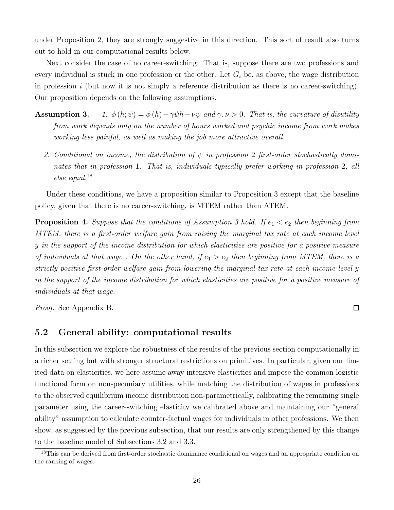under Proposition 2, they are strongly suggestive in this direction. This sort of result also turns out to hold in our computational results below.

Next consider the case of no career-switching. That is, suppose there are two professions and every individual is stuck in one profession or the other. Let  $G_i$  be, as above, the wage distribution in profession i (but now it is not simply a reference distribution as there is no career-switching). Our proposition depends on the following assumptions.

- **Assumption 3.** 1.  $\phi(h; \psi) = \phi(h) \gamma \psi h \nu \psi$  and  $\gamma, \nu > 0$ . That is, the curvature of disutility from work depends only on the number of hours worked and psychic income from work makes working less painful, as well as making the job more attractive overall.
	- 2. Conditional on income, the distribution of  $\psi$  in profession 2 first-order stochastically dominates that in profession 1. That is, individuals typically prefer working in profession 2, all else equal.<sup>18</sup>

Under these conditions, we have a proposition similar to Proposition 3 except that the baseline policy, given that there is no career-switching, is MTEM rather than ATEM.

**Proposition 4.** Suppose that the conditions of Assumption 3 hold. If  $e_1 < e_2$  then beginning from MTEM, there is a first-order welfare gain from raising the marginal tax rate at each income level y in the support of the income distribution for which elasticities are positive for a positive measure of individuals at that wage. On the other hand, if  $e_1 > e_2$  then beginning from MTEM, there is a strictly positive first-order welfare gain from lowering the marginal tax rate at each income level y in the support of the income distribution for which elasticities are positive for a positive measure of individuals at that wage.

Proof. See Appendix B.

### 5.2 General ability: computational results

In this subsection we explore the robustness of the results of the previous section computationally in a richer setting but with stronger structural restrictions on primitives. In particular, given our limited data on elasticities, we here assume away intensive elasticities and impose the common logistic functional form on non-pecuniary utilities, while matching the distribution of wages in professions to the observed equilibrium income distribution non-parametrically, calibrating the remaining single parameter using the career-switching elasticity we calibrated above and maintaining our "general ability" assumption to calculate counter-factual wages for individuals in other professions. We then show, as suggested by the previous subsection, that our results are only strengthened by this change to the baseline model of Subsections 3.2 and 3.3.

 $\Box$ 

<sup>&</sup>lt;sup>18</sup>This can be derived from first-order stochastic dominance conditional on wages and an appropriate condition on the ranking of wages.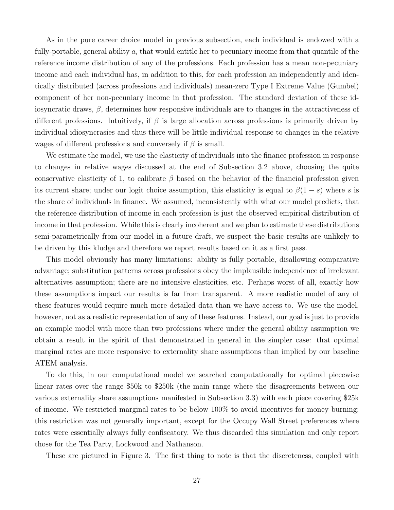As in the pure career choice model in previous subsection, each individual is endowed with a fully-portable, general ability  $a_i$  that would entitle her to pecuniary income from that quantile of the reference income distribution of any of the professions. Each profession has a mean non-pecuniary income and each individual has, in addition to this, for each profession an independently and identically distributed (across professions and individuals) mean-zero Type I Extreme Value (Gumbel) component of her non-pecuniary income in that profession. The standard deviation of these idiosyncratic draws,  $\beta$ , determines how responsive individuals are to changes in the attractiveness of different professions. Intuitively, if  $\beta$  is large allocation across professions is primarily driven by individual idiosyncrasies and thus there will be little individual response to changes in the relative wages of different professions and conversely if  $\beta$  is small.

We estimate the model, we use the elasticity of individuals into the finance profession in response to changes in relative wages discussed at the end of Subsection 3.2 above, choosing the quite conservative elasticity of 1, to calibrate  $\beta$  based on the behavior of the financial profession given its current share; under our logit choice assumption, this elasticity is equal to  $\beta(1-s)$  where s is the share of individuals in finance. We assumed, inconsistently with what our model predicts, that the reference distribution of income in each profession is just the observed empirical distribution of income in that profession. While this is clearly incoherent and we plan to estimate these distributions semi-parametrically from our model in a future draft, we suspect the basic results are unlikely to be driven by this kludge and therefore we report results based on it as a first pass.

This model obviously has many limitations: ability is fully portable, disallowing comparative advantage; substitution patterns across professions obey the implausible independence of irrelevant alternatives assumption; there are no intensive elasticities, etc. Perhaps worst of all, exactly how these assumptions impact our results is far from transparent. A more realistic model of any of these features would require much more detailed data than we have access to. We use the model, however, not as a realistic representation of any of these features. Instead, our goal is just to provide an example model with more than two professions where under the general ability assumption we obtain a result in the spirit of that demonstrated in general in the simpler case: that optimal marginal rates are more responsive to externality share assumptions than implied by our baseline ATEM analysis.

To do this, in our computational model we searched computationally for optimal piecewise linear rates over the range \$50k to \$250k (the main range where the disagreements between our various externality share assumptions manifested in Subsection 3.3) with each piece covering \$25k of income. We restricted marginal rates to be below 100% to avoid incentives for money burning; this restriction was not generally important, except for the Occupy Wall Street preferences where rates were essentially always fully confiscatory. We thus discarded this simulation and only report those for the Tea Party, Lockwood and Nathanson.

These are pictured in Figure 3. The first thing to note is that the discreteness, coupled with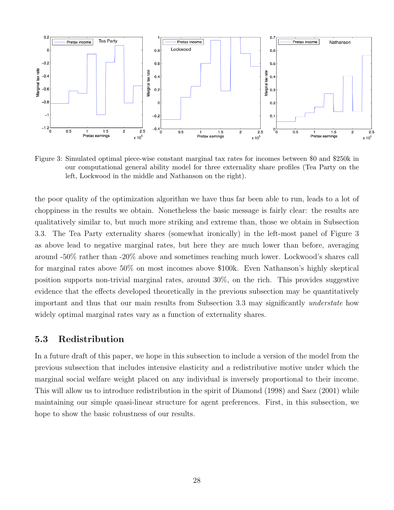

Figure 3: Simulated optimal piece-wise constant marginal tax rates for incomes between \$0 and \$250k in our computational general ability model for three externality share profiles (Tea Party on the left, Lockwood in the middle and Nathanson on the right).

the poor quality of the optimization algorithm we have thus far been able to run, leads to a lot of choppiness in the results we obtain. Nonetheless the basic message is fairly clear: the results are qualitatively similar to, but much more striking and extreme than, those we obtain in Subsection 3.3. The Tea Party externality shares (somewhat ironically) in the left-most panel of Figure 3 as above lead to negative marginal rates, but here they are much lower than before, averaging around -50% rather than -20% above and sometimes reaching much lower. Lockwood's shares call for marginal rates above 50% on most incomes above \$100k. Even Nathanson's highly skeptical position supports non-trivial marginal rates, around 30%, on the rich. This provides suggestive evidence that the effects developed theoretically in the previous subsection may be quantitatively important and thus that our main results from Subsection 3.3 may significantly understate how widely optimal marginal rates vary as a function of externality shares.

### 5.3 Redistribution

In a future draft of this paper, we hope in this subsection to include a version of the model from the previous subsection that includes intensive elasticity and a redistributive motive under which the marginal social welfare weight placed on any individual is inversely proportional to their income. This will allow us to introduce redistribution in the spirit of Diamond (1998) and Saez (2001) while maintaining our simple quasi-linear structure for agent preferences. First, in this subsection, we hope to show the basic robustness of our results.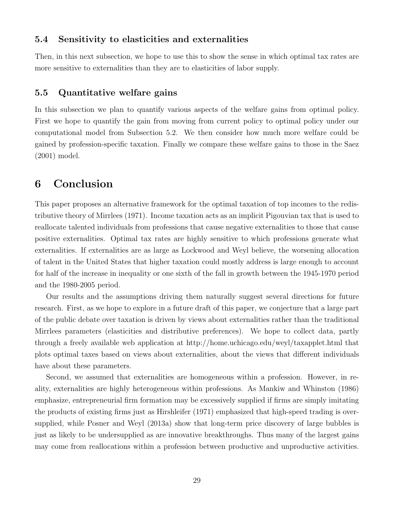#### 5.4 Sensitivity to elasticities and externalities

Then, in this next subsection, we hope to use this to show the sense in which optimal tax rates are more sensitive to externalities than they are to elasticities of labor supply.

### 5.5 Quantitative welfare gains

In this subsection we plan to quantify various aspects of the welfare gains from optimal policy. First we hope to quantify the gain from moving from current policy to optimal policy under our computational model from Subsection 5.2. We then consider how much more welfare could be gained by profession-specific taxation. Finally we compare these welfare gains to those in the Saez (2001) model.

### 6 Conclusion

This paper proposes an alternative framework for the optimal taxation of top incomes to the redistributive theory of Mirrlees (1971). Income taxation acts as an implicit Pigouvian tax that is used to reallocate talented individuals from professions that cause negative externalities to those that cause positive externalities. Optimal tax rates are highly sensitive to which professions generate what externalities. If externalities are as large as Lockwood and Weyl believe, the worsening allocation of talent in the United States that higher taxation could mostly address is large enough to account for half of the increase in inequality or one sixth of the fall in growth between the 1945-1970 period and the 1980-2005 period.

Our results and the assumptions driving them naturally suggest several directions for future research. First, as we hope to explore in a future draft of this paper, we conjecture that a large part of the public debate over taxation is driven by views about externalities rather than the traditional Mirrlees parameters (elasticities and distributive preferences). We hope to collect data, partly through a freely available web application at http://home.uchicago.edu/weyl/taxapplet.html that plots optimal taxes based on views about externalities, about the views that different individuals have about these parameters.

Second, we assumed that externalities are homogeneous within a profession. However, in reality, externalities are highly heterogeneous within professions. As Mankiw and Whinston (1986) emphasize, entrepreneurial firm formation may be excessively supplied if firms are simply imitating the products of existing firms just as Hirshleifer (1971) emphasized that high-speed trading is oversupplied, while Posner and Weyl (2013a) show that long-term price discovery of large bubbles is just as likely to be undersupplied as are innovative breakthroughs. Thus many of the largest gains may come from reallocations within a profession between productive and unproductive activities.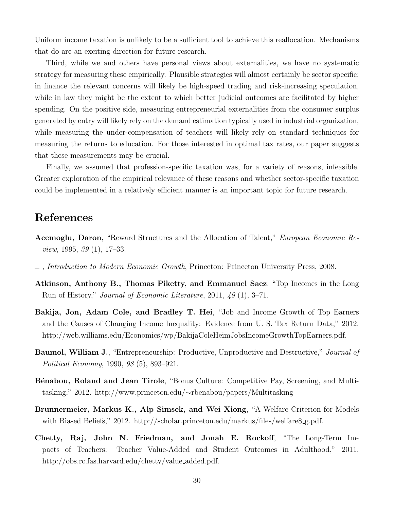Uniform income taxation is unlikely to be a sufficient tool to achieve this reallocation. Mechanisms that do are an exciting direction for future research.

Third, while we and others have personal views about externalities, we have no systematic strategy for measuring these empirically. Plausible strategies will almost certainly be sector specific: in finance the relevant concerns will likely be high-speed trading and risk-increasing speculation, while in law they might be the extent to which better judicial outcomes are facilitated by higher spending. On the positive side, measuring entrepreneurial externalities from the consumer surplus generated by entry will likely rely on the demand estimation typically used in industrial organization, while measuring the under-compensation of teachers will likely rely on standard techniques for measuring the returns to education. For those interested in optimal tax rates, our paper suggests that these measurements may be crucial.

Finally, we assumed that profession-specific taxation was, for a variety of reasons, infeasible. Greater exploration of the empirical relevance of these reasons and whether sector-specific taxation could be implemented in a relatively efficient manner is an important topic for future research.

### References

- Acemoglu, Daron, "Reward Structures and the Allocation of Talent," European Economic Review, 1995, 39 (1), 17–33.
- , Introduction to Modern Economic Growth, Princeton: Princeton University Press, 2008.
- Atkinson, Anthony B., Thomas Piketty, and Emmanuel Saez, "Top Incomes in the Long Run of History," Journal of Economic Literature, 2011, 49 (1), 3–71.
- Bakija, Jon, Adam Cole, and Bradley T. Hei, "Job and Income Growth of Top Earners and the Causes of Changing Income Inequality: Evidence from U. S. Tax Return Data," 2012. http://web.williams.edu/Economics/wp/BakijaColeHeimJobsIncomeGrowthTopEarners.pdf.
- **Baumol, William J.**, "Entrepreneurship: Productive, Unproductive and Destructive," *Journal of* Political Economy, 1990, 98 (5), 893–921.
- Bénabou, Roland and Jean Tirole, "Bonus Culture: Competitive Pay, Screening, and Multitasking," 2012. http://www.princeton.edu/∼rbenabou/papers/Multitasking
- Brunnermeier, Markus K., Alp Simsek, and Wei Xiong, "A Welfare Criterion for Models with Biased Beliefs," 2012. http://scholar.princeton.edu/markus/files/welfare8\_g.pdf.
- Chetty, Raj, John N. Friedman, and Jonah E. Rockoff, "The Long-Term Impacts of Teachers: Teacher Value-Added and Student Outcomes in Adulthood," 2011. http://obs.rc.fas.harvard.edu/chetty/value added.pdf.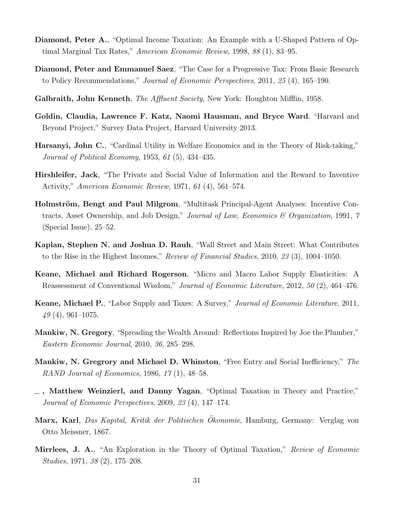- Diamond, Peter A., "Optimal Income Taxation: An Example with a U-Shaped Pattern of Optimal Marginal Tax Rates," American Economic Review, 1998, 88 (1), 83–95.
- Diamond, Peter and Emmanuel Saez, "The Case for a Progressive Tax: From Basic Research to Policy Recommendations," Journal of Economic Perspectives, 2011, 25 (4), 165–190.
- Galbraith, John Kenneth, *The Affluent Society*, New York: Houghton Mifflin, 1958.
- Goldin, Claudia, Lawrence F. Katz, Naomi Hausman, and Bryce Ward, "Harvard and Beyond Project," Survey Data Project, Harvard University 2013.
- Harsanyi, John C., "Cardinal Utility in Welfare Economics and in the Theory of Risk-taking," Journal of Political Economy, 1953, 61 (5), 434–435.
- Hirshleifer, Jack, "The Private and Social Value of Information and the Reward to Inventive Activity," American Economic Review, 1971, 61 (4), 561–574.
- Holmström, Bengt and Paul Milgrom, "Multitask Principal-Agent Analyses: Incentive Contracts, Asset Ownership, and Job Design," Journal of Law, Economics & Organization, 1991, 7 (Special Issue), 25–52.
- Kaplan, Stephen N. and Joshua D. Rauh, "Wall Street and Main Street: What Contributes to the Rise in the Highest Incomes," Review of Financial Studies, 2010, 23 (3), 1004–1050.
- Keane, Michael and Richard Rogerson, "Micro and Macro Labor Supply Elasticities: A Reassessment of Conventional Wisdom," Journal of Economic Literature, 2012, 50 (2), 464–476.
- Keane, Michael P., "Labor Supply and Taxes: A Survey," Journal of Economic Literature, 2011,  $49(4)$ , 961–1075.
- Mankiw, N. Gregory, "Spreading the Wealth Around: Reflections Inspired by Joe the Plumber," Eastern Economic Journal, 2010, 36, 285–298.
- Mankiw, N. Gregrory and Michael D. Whinston, "Free Entry and Social Inefficiency," The RAND Journal of Economics, 1986, 17 (1), 48–58.
- , Matthew Weinzierl, and Danny Yagan, "Optimal Taxation in Theory and Practice," Journal of Economic Perspectives, 2009, 23 (4), 147–174.
- Marx, Karl, Das Kapital, Kritik der Politischen Okonomie, Hamburg, Germany: Verglag von Otto Meissner, 1867.
- Mirrlees, J. A., "An Exploration in the Theory of Optimal Taxation," Review of Economic Studies, 1971, 38 (2), 175–208.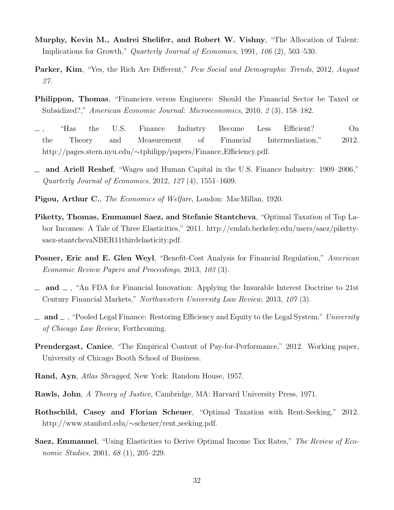- Murphy, Kevin M., Andrei Shelifer, and Robert W. Vishny, "The Allocation of Talent: Implications for Growth," Quarterly Journal of Economics, 1991, 106 (2), 503–530.
- Parker, Kim, "Yes, the Rich Are Different," Pew Social and Demographic Trends, 2012, August 27.
- Philippon, Thomas, "Financiers versus Engineers: Should the Financial Sector be Taxed or Subsidized?," American Economic Journal: Microeconomics, 2010, 2 (3), 158–182.
- , "Has the U.S. Finance Industry Become Less Efficient? On the Theory and Measurement of Financial Intermediation," 2012. http://pages.stern.nyu.edu/∼tphilipp/papers/Finance Efficiency.pdf.
- and Ariell Reshef, "Wages and Human Capital in the U.S. Finance Industry: 1909–2006," Quarterly Journal of Economics, 2012, 127 (4), 1551–1609.
- Pigou, Arthur C., The Economics of Welfare, London: MacMillan, 1920.
- Piketty, Thomas, Emmanuel Saez, and Stefanie Stantcheva, "Optimal Taxation of Top Labor Incomes: A Tale of Three Elasticities," 2011. http://emlab.berkeley.edu/users/saez/pikettysaez-stantchevaNBER11thirdelasticity.pdf.
- Posner, Eric and E. Glen Weyl, "Benefit-Cost Analysis for Financial Regulation," American Economic Review Papers and Proceedings, 2013, 103 (3).
- $\Box$  and  $\Box$ , "An FDA for Financial Innovation: Applying the Insurable Interest Doctrine to 21st Century Financial Markets," Northwestern University Law Review, 2013, 107 (3).
- $\Box$  and  $\Box$ , "Pooled Legal Finance: Restoring Efficiency and Equity to the Legal System," University of Chicago Law Review, Forthcoming.
- Prendergast, Canice, "The Empirical Content of Pay-for-Performance," 2012. Working paper, University of Chicago Booth School of Business.
- Rand, Ayn, Atlas Shrugged, New York: Random House, 1957.
- Rawls, John, A Theory of Justice, Cambridge, MA: Harvard University Press, 1971.
- Rothschild, Casey and Florian Scheuer, "Optimal Taxation with Rent-Seeking," 2012. http://www.stanford.edu/∼scheuer/rent seeking.pdf.
- Saez, Emmanuel, "Using Elasticities to Derive Optimal Income Tax Rates," The Review of Economic Studies, 2001, 68 (1), 205–229.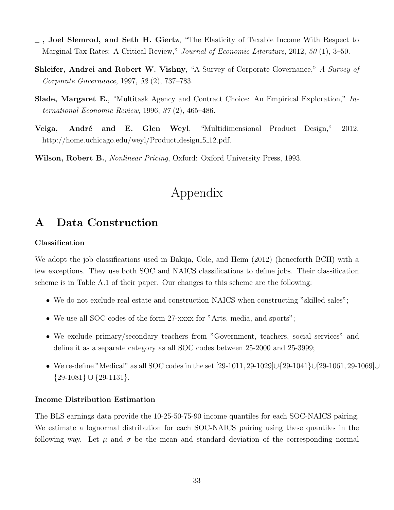- , Joel Slemrod, and Seth H. Giertz, "The Elasticity of Taxable Income With Respect to Marginal Tax Rates: A Critical Review," Journal of Economic Literature, 2012, 50 (1), 3–50.
- Shleifer, Andrei and Robert W. Vishny, "A Survey of Corporate Governance," A Survey of Corporate Governance, 1997, 52 (2), 737–783.
- Slade, Margaret E., "Multitask Agency and Contract Choice: An Empirical Exploration," International Economic Review, 1996, 37 (2), 465–486.
- Veiga, André and E. Glen Weyl, "Multidimensional Product Design," 2012. http://home.uchicago.edu/weyl/Product\_design\_5\_12.pdf.

Wilson, Robert B., *Nonlinear Pricing*, Oxford: Oxford University Press, 1993.

# Appendix

# A Data Construction

#### Classification

We adopt the job classifications used in Bakija, Cole, and Heim (2012) (henceforth BCH) with a few exceptions. They use both SOC and NAICS classifications to define jobs. Their classification scheme is in Table A.1 of their paper. Our changes to this scheme are the following:

- We do not exclude real estate and construction NAICS when constructing "skilled sales";
- We use all SOC codes of the form 27-xxxx for "Arts, media, and sports";
- We exclude primary/secondary teachers from "Government, teachers, social services" and define it as a separate category as all SOC codes between 25-2000 and 25-3999;
- We re-define "Medical" as all SOC codes in the set [29-1011, 29-1029]∪{29-1041}∪[29-1061, 29-1069]∪  $\{29-1081\} \cup \{29-1131\}.$

#### Income Distribution Estimation

The BLS earnings data provide the 10-25-50-75-90 income quantiles for each SOC-NAICS pairing. We estimate a lognormal distribution for each SOC-NAICS pairing using these quantiles in the following way. Let  $\mu$  and  $\sigma$  be the mean and standard deviation of the corresponding normal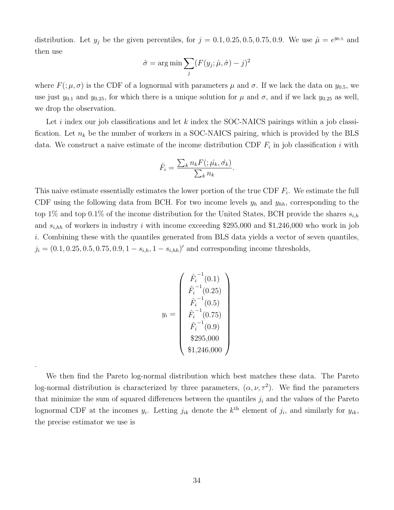distribution. Let  $y_j$  be the given percentiles, for  $j = 0.1, 0.25, 0.5, 0.75, 0.9$ . We use  $\hat{\mu} = e^{y_{0.5}}$  and then use

$$
\hat{\sigma} = \arg \min \sum_{j} (F(y_j; \hat{\mu}, \hat{\sigma}) - j)^2
$$

where  $F(\mu, \sigma)$  is the CDF of a lognormal with parameters  $\mu$  and  $\sigma$ . If we lack the data on  $y_{0.5}$ , we use just  $y_{0.1}$  and  $y_{0.25}$ , for which there is a unique solution for  $\mu$  and  $\sigma$ , and if we lack  $y_{0.25}$  as well, we drop the observation.

Let i index our job classifications and let k index the SOC-NAICS pairings within a job classification. Let  $n_k$  be the number of workers in a SOC-NAICS pairing, which is provided by the BLS data. We construct a naive estimate of the income distribution CDF  $F_i$  in job classification i with

$$
\hat{F}_i = \frac{\sum_k n_k F(\hat{\mu}_k, \hat{\sigma_k})}{\sum_k n_k}.
$$

This naive estimate essentially estimates the lower portion of the true CDF  $F_i$ . We estimate the full CDF using the following data from BCH. For two income levels  $y_h$  and  $y_{hh}$ , corresponding to the top 1% and top 0.1% of the income distribution for the United States, BCH provide the shares  $s_{i,h}$ and  $s_{i,hh}$  of workers in industry i with income exceeding \$295,000 and \$1,246,000 who work in job i. Combining these with the quantiles generated from BLS data yields a vector of seven quantiles,  $j_i = (0.1, 0.25, 0.5, 0.75, 0.9, 1 - s_{i,h}, 1 - s_{i,h})'$  and corresponding income thresholds,

$$
y_i = \begin{pmatrix} \hat{F}_i^{-1}(0.1) \\ \hat{F}_i^{-1}(0.25) \\ \hat{F}_i^{-1}(0.5) \\ \hat{F}_i^{-1}(0.75) \\ \hat{F}_i^{-1}(0.9) \\ \$295,000 \\ \$1,246,000 \end{pmatrix}
$$

We then find the Pareto log-normal distribution which best matches these data. The Pareto log-normal distribution is characterized by three parameters,  $(\alpha, \nu, \tau^2)$ . We find the parameters that minimize the sum of squared differences between the quantiles  $j_i$  and the values of the Pareto lognormal CDF at the incomes  $y_i$ . Letting  $j_{ik}$  denote the  $k^{\text{th}}$  element of  $j_i$ , and similarly for  $y_{ik}$ , the precise estimator we use is

.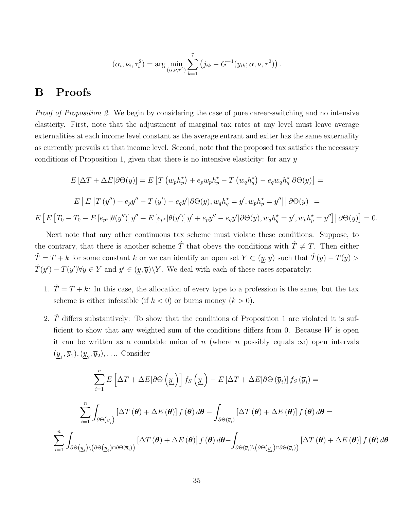$$
(\alpha_i, \nu_i, \tau_i^2) = \arg \min_{(\alpha, \nu, \tau^2)} \sum_{k=1}^7 (j_{ik} - G^{-1}(y_{ik}; \alpha, \nu, \tau^2)).
$$

### B Proofs

Proof of Proposition 2. We begin by considering the case of pure career-switching and no intensive elasticity. First, note that the adjustment of marginal tax rates at any level must leave average externalities at each income level constant as the average entrant and exiter has the same externality as currently prevails at that income level. Second, note that the proposed tax satisfies the necessary conditions of Proposition 1, given that there is no intensive elasticity: for any  $y$ 

$$
E\left[\Delta T + \Delta E|\partial\Theta(y)\right] = E\left[T\left(w_p h_p^*\right) + e_p w_p h_p^* - T\left(w_q h_q^*\right) - e_q w_q h_q^* |\partial\Theta(y)\right] =
$$
  
\n
$$
E\left[E\left[T\left(y''\right) + e_p y'' - T\left(y'\right) - e_q y' |\partial\Theta(y), w_q h_q^* = y', w_p h_p^* = y''\right] |\partial\Theta(y)\right] =
$$
  
\n
$$
E\left[E\left[T_0 - T_0 - E\left[e_{p^*}|\theta(y')\right]y'' + E\left[e_{p^*}|\theta(y')\right]y' + e_p y'' - e_q y' |\partial\Theta(y), w_q h_q^* = y', w_p h_p^* = y''\right] |\partial\Theta(y)\right] = 0.
$$

Next note that any other continuous tax scheme must violate these conditions. Suppose, to the contrary, that there is another scheme  $\hat{T}$  that obeys the conditions with  $\hat{T} \neq T$ . Then either  $\hat{T} = T + k$  for some constant k or we can identify an open set  $Y \subset (\underline{y}, \overline{y})$  such that  $\hat{T}(y) - T(y) >$  $\hat{T}(y') - T(y')\forall y \in Y$  and  $y' \in (y, \overline{y})\backslash Y$ . We deal with each of these cases separately:

- 1.  $\hat{T} = T + k$ : In this case, the allocation of every type to a profession is the same, but the tax scheme is either infeasible (if  $k < 0$ ) or burns money  $(k > 0)$ .
- 2.  $\hat{T}$  differs substantively: To show that the conditions of Proposition 1 are violated it is sufficient to show that any weighted sum of the conditions differs from 0. Because  $W$  is open it can be written as a countable union of n (where n possibly equals  $\infty$ ) open intervals  $(\underline{y}_1, \overline{y}_1), (\underline{y}_2, \overline{y}_2), \dots$  Consider

$$
\sum_{i=1}^{n} E\left[\Delta T + \Delta E|\partial\Theta\left(\underline{y}_{i}\right)\right] f_{S}\left(\underline{y}_{i}\right) - E\left[\Delta T + \Delta E|\partial\Theta\left(\overline{y}_{i}\right)\right] f_{S}\left(\overline{y}_{i}\right) =
$$
\n
$$
\sum_{i=1}^{n} \int_{\partial\Theta(\underline{y}_{i})} \left[\Delta T\left(\theta\right) + \Delta E\left(\theta\right)\right] f\left(\theta\right) d\theta - \int_{\partial\Theta(\overline{y}_{i})} \left[\Delta T\left(\theta\right) + \Delta E\left(\theta\right)\right] f\left(\theta\right) d\theta =
$$
\n
$$
\sum_{i=1}^{n} \int_{\partial\Theta(\underline{y}_{i}) \setminus \left(\partial\Theta(\underline{y}_{i})\cap\partial\Theta(\overline{y}_{i})\right)} \left[\Delta T\left(\theta\right) + \Delta E\left(\theta\right)\right] f\left(\theta\right) d\theta - \int_{\partial\Theta(\overline{y}_{i}) \setminus \left(\partial\Theta(\underline{y}_{i})\cap\partial\Theta(\overline{y}_{i})\right)} \left[\Delta T\left(\theta\right) + \Delta E\left(\theta\right)\right] f\left(\theta\right) d\theta
$$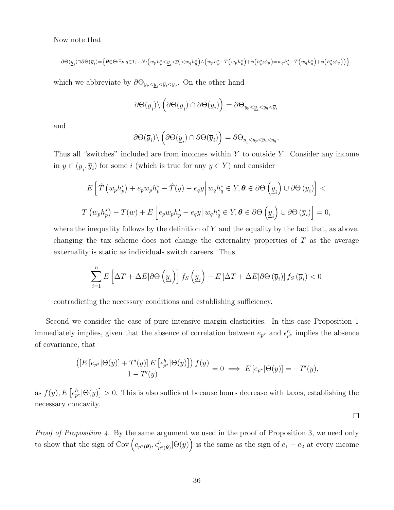Now note that

$$
\partial\Theta(\underline{y}_i)\cap\partial\Theta(\overline{y}_i)\! =\!\! \left\{\theta\!\in\!\Theta\!\!:\!\exists p,q\!\in\!\!1,\!\dots\!N\!\!:\!\!\Big(\bar w_p h_p^\star\!<\!\!\underline{y}_i\!<\!\overline{y}_i\!<\!\!\bar w_q h_q^\star\Big)\! \wedge\!\Big(\bar w_p h_p^\star\!-\!T\Big(\bar w_p h_p^\star\Big)\!+\!\phi\!\left(h_p^\star;\!\phi_p\right)\!\!=\!\!\bar w_q h_q^\star\!-\!T\Big(\bar w_q h_q^\star\Big)\!+\!\phi\!\left(h_q^\star;\!\phi_q\right)\!\right)\!\right\}\!,
$$

which we abbreviate by  $\partial \Theta_{y_p < y_i < y_q}$ . On the other hand

$$
\partial\Theta(\underline{y}_i)\backslash\left(\partial\Theta(\underline{y}_i)\cap\partial\Theta(\overline{y}_i)\right)=\partial\Theta_{y_p<\underline{y}_i
$$

and

$$
\partial\Theta(\overline{y}_i)\backslash\left(\partial\Theta(\underline{y}_i)\cap\partial\Theta(\overline{y}_i)\right)=\partial\Theta_{\underline{y}_i< y_p<\overline{y}_i< y_q}.
$$

Thus all "switches" included are from incomes within  $Y$  to outside  $Y$ . Consider any income in  $y \in (\underline{y}_i, \overline{y}_i)$  for some i (which is true for any  $y \in Y$ ) and consider

$$
E\left[\hat{T}\left(w_{p}h_{p}^{\star}\right)+e_{p}w_{p}h_{p}^{\star}-\hat{T}(y)-e_{q}y\right|w_{q}h_{q}^{\star}\in Y, \theta\in\partial\Theta\left(\underline{y}_{i}\right)\cup\partial\Theta\left(\overline{y}_{i}\right)\right]T\left(w_{p}h_{p}^{\star}\right)-T(w)+E\left[e_{p}w_{p}h_{p}^{\star}-e_{q}y\right|w_{q}h_{q}^{\star}\in Y, \theta\in\partial\Theta\left(\underline{y}_{i}\right)\cup\partial\Theta\left(\overline{y}_{i}\right)\right]=0,
$$

where the inequality follows by the definition of  $Y$  and the equality by the fact that, as above, changing the tax scheme does not change the externality properties of  $T$  as the average externality is static as individuals switch careers. Thus

$$
\sum_{i=1}^{n} E\left[\Delta T + \Delta E|\partial\Theta\left(\underline{y}_i\right)\right] f_S\left(\underline{y}_i\right) - E\left[\Delta T + \Delta E|\partial\Theta\left(\overline{y}_i\right)\right] f_S\left(\overline{y}_i\right) < 0
$$

contradicting the necessary conditions and establishing sufficiency.

Second we consider the case of pure intensive margin elasticities. In this case Proposition 1 immediately implies, given that the absence of correlation between  $e_{p^*}$  and  $\epsilon_{p^*}^h$  implies the absence of covariance, that

$$
\frac{\left(\left[E\left[e_{p^*}|\Theta(y)\right] + T'(y)\right]E\left[e_{p^*}^h|\Theta(y)\right]\right)f(y)}{1 - T'(y)} = 0 \implies E\left[e_{p^*}|\Theta(y)\right] = -T'(y),
$$

as  $f(y), E\left[\epsilon_{p^*}^h | \Theta(y)\right] > 0$ . This is also sufficient because hours decrease with taxes, establishing the necessary concavity.

Proof of Proposition 4. By the same argument we used in the proof of Proposition 3, we need only to show that the sign of Cov  $(e_{p^*(\theta)}, e_{p^*(\theta)}^h | \Theta(y))$  is the same as the sign of  $e_1 - e_2$  at every income

 $\Box$